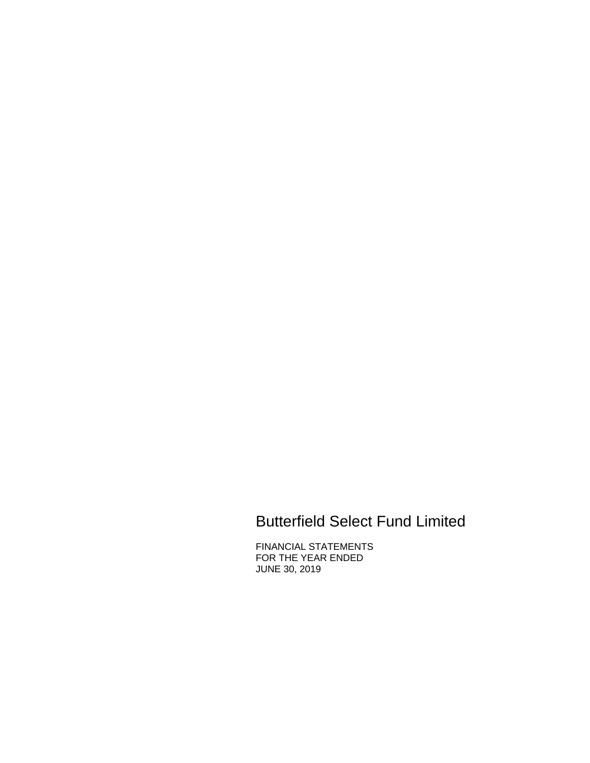# Butterfield Select Fund Limited

FINANCIAL STATEMENTS FOR THE YEAR ENDED JUNE 30, 2019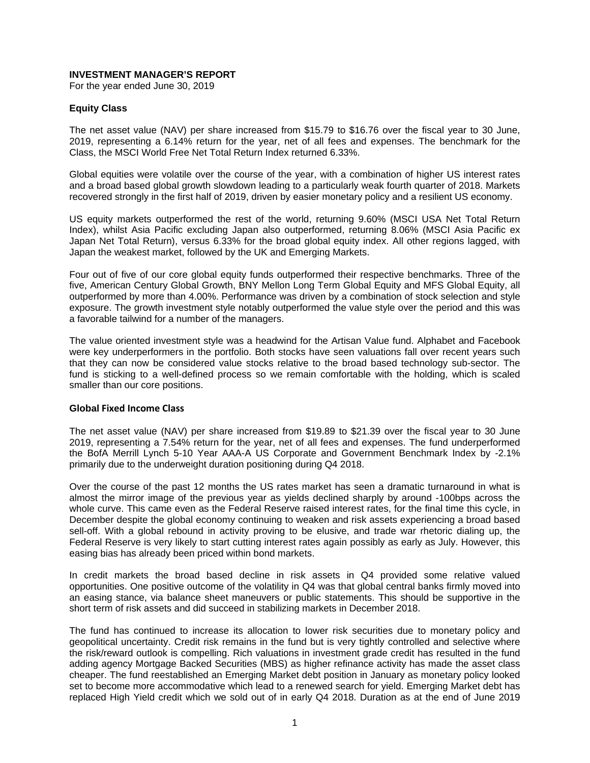#### **INVESTMENT MANAGER'S REPORT**

For the year ended June 30, 2019

#### **Equity Class**

The net asset value (NAV) per share increased from \$15.79 to \$16.76 over the fiscal year to 30 June, 2019, representing a 6.14% return for the year, net of all fees and expenses. The benchmark for the Class, the MSCI World Free Net Total Return Index returned 6.33%.

Global equities were volatile over the course of the year, with a combination of higher US interest rates and a broad based global growth slowdown leading to a particularly weak fourth quarter of 2018. Markets recovered strongly in the first half of 2019, driven by easier monetary policy and a resilient US economy.

US equity markets outperformed the rest of the world, returning 9.60% (MSCI USA Net Total Return Index), whilst Asia Pacific excluding Japan also outperformed, returning 8.06% (MSCI Asia Pacific ex Japan Net Total Return), versus 6.33% for the broad global equity index. All other regions lagged, with Japan the weakest market, followed by the UK and Emerging Markets.

Four out of five of our core global equity funds outperformed their respective benchmarks. Three of the five, American Century Global Growth, BNY Mellon Long Term Global Equity and MFS Global Equity, all outperformed by more than 4.00%. Performance was driven by a combination of stock selection and style exposure. The growth investment style notably outperformed the value style over the period and this was a favorable tailwind for a number of the managers.

The value oriented investment style was a headwind for the Artisan Value fund. Alphabet and Facebook were key underperformers in the portfolio. Both stocks have seen valuations fall over recent years such that they can now be considered value stocks relative to the broad based technology sub-sector. The fund is sticking to a well-defined process so we remain comfortable with the holding, which is scaled smaller than our core positions.

#### **Global Fixed Income Class**

The net asset value (NAV) per share increased from \$19.89 to \$21.39 over the fiscal year to 30 June 2019, representing a 7.54% return for the year, net of all fees and expenses. The fund underperformed the BofA Merrill Lynch 5-10 Year AAA-A US Corporate and Government Benchmark Index by -2.1% primarily due to the underweight duration positioning during Q4 2018.

Over the course of the past 12 months the US rates market has seen a dramatic turnaround in what is almost the mirror image of the previous year as yields declined sharply by around -100bps across the whole curve. This came even as the Federal Reserve raised interest rates, for the final time this cycle, in December despite the global economy continuing to weaken and risk assets experiencing a broad based sell-off. With a global rebound in activity proving to be elusive, and trade war rhetoric dialing up, the Federal Reserve is very likely to start cutting interest rates again possibly as early as July. However, this easing bias has already been priced within bond markets.

In credit markets the broad based decline in risk assets in Q4 provided some relative valued opportunities. One positive outcome of the volatility in Q4 was that global central banks firmly moved into an easing stance, via balance sheet maneuvers or public statements. This should be supportive in the short term of risk assets and did succeed in stabilizing markets in December 2018.

The fund has continued to increase its allocation to lower risk securities due to monetary policy and geopolitical uncertainty. Credit risk remains in the fund but is very tightly controlled and selective where the risk/reward outlook is compelling. Rich valuations in investment grade credit has resulted in the fund adding agency Mortgage Backed Securities (MBS) as higher refinance activity has made the asset class cheaper. The fund reestablished an Emerging Market debt position in January as monetary policy looked set to become more accommodative which lead to a renewed search for yield. Emerging Market debt has replaced High Yield credit which we sold out of in early Q4 2018. Duration as at the end of June 2019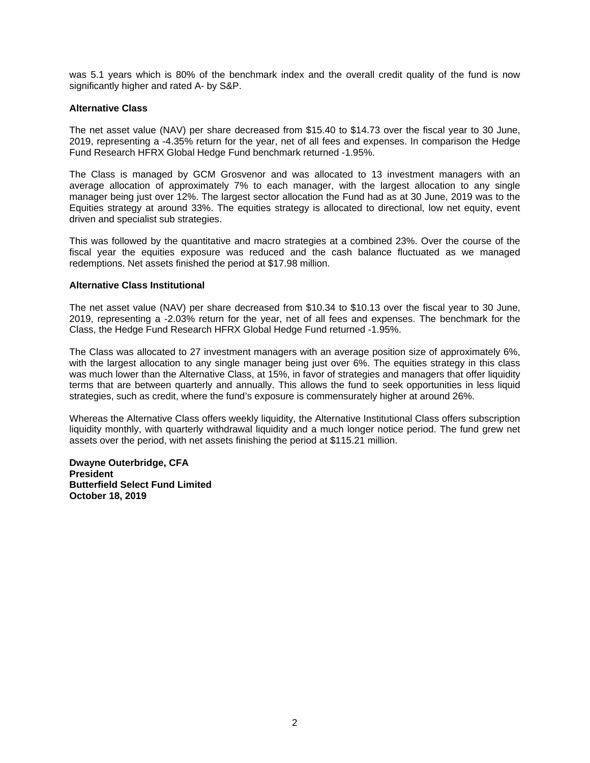was 5.1 years which is 80% of the benchmark index and the overall credit quality of the fund is now significantly higher and rated A- by S&P.

#### **Alternative Class**

The net asset value (NAV) per share decreased from \$15.40 to \$14.73 over the fiscal year to 30 June, 2019, representing a -4.35% return for the year, net of all fees and expenses. In comparison the Hedge Fund Research HFRX Global Hedge Fund benchmark returned -1.95%.

The Class is managed by GCM Grosvenor and was allocated to 13 investment managers with an average allocation of approximately 7% to each manager, with the largest allocation to any single manager being just over 12%. The largest sector allocation the Fund had as at 30 June, 2019 was to the Equities strategy at around 33%. The equities strategy is allocated to directional, low net equity, event driven and specialist sub strategies.

This was followed by the quantitative and macro strategies at a combined 23%. Over the course of the fiscal year the equities exposure was reduced and the cash balance fluctuated as we managed redemptions. Net assets finished the period at \$17.98 million.

#### **Alternative Class Institutional**

The net asset value (NAV) per share decreased from \$10.34 to \$10.13 over the fiscal year to 30 June, 2019, representing a -2.03% return for the year, net of all fees and expenses. The benchmark for the Class, the Hedge Fund Research HFRX Global Hedge Fund returned -1.95%.

The Class was allocated to 27 investment managers with an average position size of approximately 6%, with the largest allocation to any single manager being just over 6%. The equities strategy in this class was much lower than the Alternative Class, at 15%, in favor of strategies and managers that offer liquidity terms that are between quarterly and annually. This allows the fund to seek opportunities in less liquid strategies, such as credit, where the fund's exposure is commensurately higher at around 26%.

Whereas the Alternative Class offers weekly liquidity, the Alternative Institutional Class offers subscription liquidity monthly, with quarterly withdrawal liquidity and a much longer notice period. The fund grew net assets over the period, with net assets finishing the period at \$115.21 million.

**Dwayne Outerbridge, CFA President Butterfield Select Fund Limited October 18, 2019**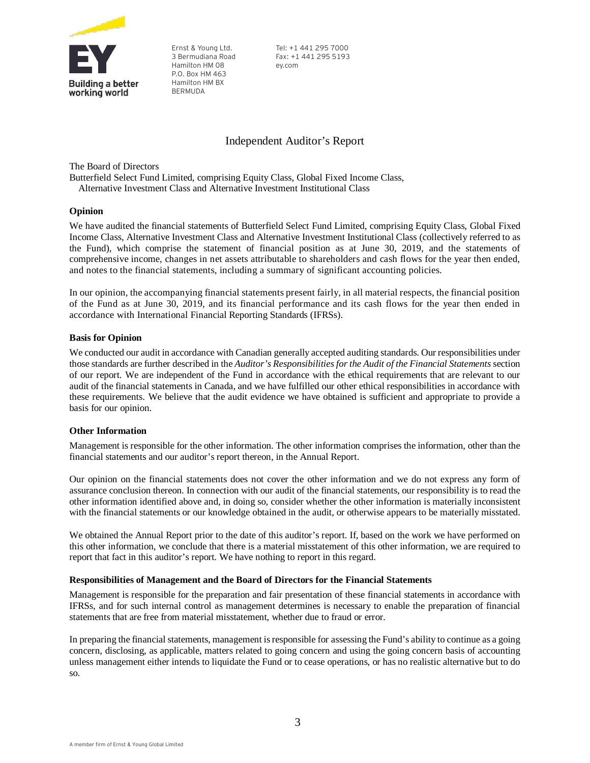

Ernst & Young Ltd. 3 Bermudiana Road Hamilton HM 08 P.O. Box HM 463 Hamilton HM BX BERMUDA

Tel: +1 441 295 7000 Fax: +1 441 295 5193 ey.com

# Independent Auditor's Report

The Board of Directors

Butterfield Select Fund Limited, comprising Equity Class, Global Fixed Income Class, Alternative Investment Class and Alternative Investment Institutional Class

#### **Opinion**

We have audited the financial statements of Butterfield Select Fund Limited, comprising Equity Class, Global Fixed Income Class, Alternative Investment Class and Alternative Investment Institutional Class (collectively referred to as the Fund), which comprise the statement of financial position as at June 30, 2019, and the statements of comprehensive income, changes in net assets attributable to shareholders and cash flows for the year then ended, and notes to the financial statements, including a summary of significant accounting policies.

In our opinion, the accompanying financial statements present fairly, in all material respects, the financial position of the Fund as at June 30, 2019, and its financial performance and its cash flows for the year then ended in accordance with International Financial Reporting Standards (IFRSs).

#### **Basis for Opinion**

We conducted our audit in accordance with Canadian generally accepted auditing standards. Our responsibilities under those standards are further described in the *Auditor's Responsibilities for the Audit of the Financial Statements* section of our report. We are independent of the Fund in accordance with the ethical requirements that are relevant to our audit of the financial statements in Canada, and we have fulfilled our other ethical responsibilities in accordance with these requirements. We believe that the audit evidence we have obtained is sufficient and appropriate to provide a basis for our opinion.

#### **Other Information**

Management is responsible for the other information. The other information comprises the information, other than the financial statements and our auditor's report thereon, in the Annual Report.

Our opinion on the financial statements does not cover the other information and we do not express any form of assurance conclusion thereon. In connection with our audit of the financial statements, our responsibility is to read the other information identified above and, in doing so, consider whether the other information is materially inconsistent with the financial statements or our knowledge obtained in the audit, or otherwise appears to be materially misstated.

We obtained the Annual Report prior to the date of this auditor's report. If, based on the work we have performed on this other information, we conclude that there is a material misstatement of this other information, we are required to report that fact in this auditor's report. We have nothing to report in this regard.

#### **Responsibilities of Management and the Board of Directors for the Financial Statements**

Management is responsible for the preparation and fair presentation of these financial statements in accordance with IFRSs, and for such internal control as management determines is necessary to enable the preparation of financial statements that are free from material misstatement, whether due to fraud or error.

In preparing the financial statements, management is responsible for assessing the Fund's ability to continue as a going concern, disclosing, as applicable, matters related to going concern and using the going concern basis of accounting unless management either intends to liquidate the Fund or to cease operations, or has no realistic alternative but to do so.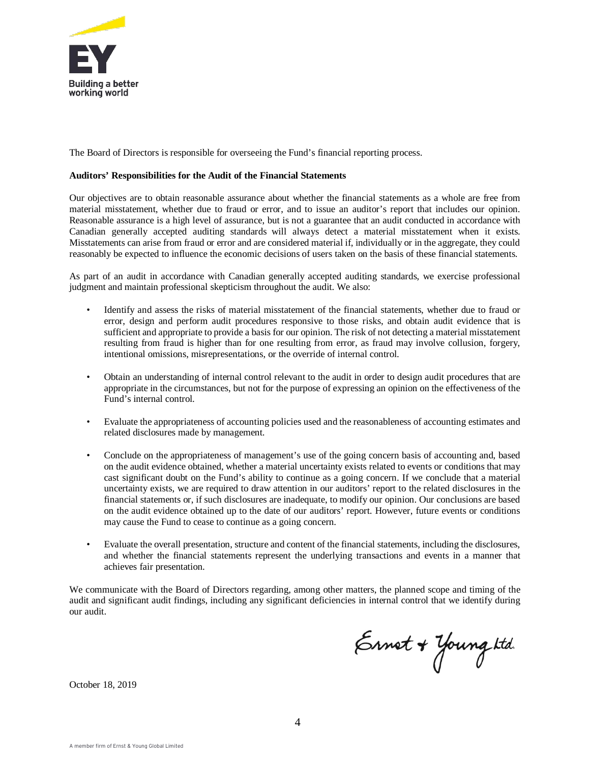

The Board of Directors is responsible for overseeing the Fund's financial reporting process.

#### **Auditors' Responsibilities for the Audit of the Financial Statements**

Our objectives are to obtain reasonable assurance about whether the financial statements as a whole are free from material misstatement, whether due to fraud or error, and to issue an auditor's report that includes our opinion. Reasonable assurance is a high level of assurance, but is not a guarantee that an audit conducted in accordance with Canadian generally accepted auditing standards will always detect a material misstatement when it exists. Misstatements can arise from fraud or error and are considered material if, individually or in the aggregate, they could reasonably be expected to influence the economic decisions of users taken on the basis of these financial statements.

As part of an audit in accordance with Canadian generally accepted auditing standards, we exercise professional judgment and maintain professional skepticism throughout the audit. We also:

- Identify and assess the risks of material misstatement of the financial statements, whether due to fraud or error, design and perform audit procedures responsive to those risks, and obtain audit evidence that is sufficient and appropriate to provide a basis for our opinion. The risk of not detecting a material misstatement resulting from fraud is higher than for one resulting from error, as fraud may involve collusion, forgery, intentional omissions, misrepresentations, or the override of internal control.
- Obtain an understanding of internal control relevant to the audit in order to design audit procedures that are appropriate in the circumstances, but not for the purpose of expressing an opinion on the effectiveness of the Fund's internal control.
- Evaluate the appropriateness of accounting policies used and the reasonableness of accounting estimates and related disclosures made by management.
- Conclude on the appropriateness of management's use of the going concern basis of accounting and, based on the audit evidence obtained, whether a material uncertainty exists related to events or conditions that may cast significant doubt on the Fund's ability to continue as a going concern. If we conclude that a material uncertainty exists, we are required to draw attention in our auditors' report to the related disclosures in the financial statements or, if such disclosures are inadequate, to modify our opinion. Our conclusions are based on the audit evidence obtained up to the date of our auditors' report. However, future events or conditions may cause the Fund to cease to continue as a going concern.
- Evaluate the overall presentation, structure and content of the financial statements, including the disclosures, and whether the financial statements represent the underlying transactions and events in a manner that achieves fair presentation.

We communicate with the Board of Directors regarding, among other matters, the planned scope and timing of the audit and significant audit findings, including any significant deficiencies in internal control that we identify during our audit.

Ernot + Young ktd.

October 18, 2019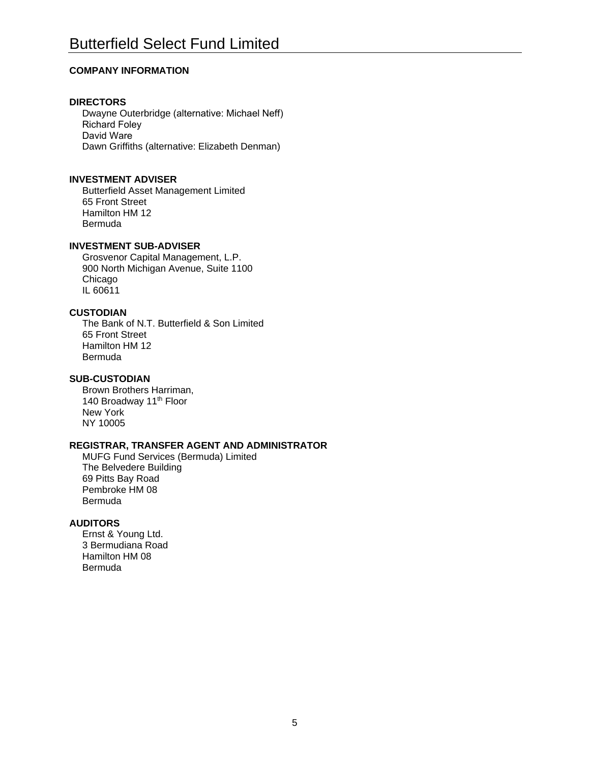# **COMPANY INFORMATION**

# **DIRECTORS**

Dwayne Outerbridge (alternative: Michael Neff) Richard Foley David Ware Dawn Griffiths (alternative: Elizabeth Denman)

# **INVESTMENT ADVISER**

Butterfield Asset Management Limited 65 Front Street Hamilton HM 12 Bermuda

# **INVESTMENT SUB-ADVISER**

Grosvenor Capital Management, L.P. 900 North Michigan Avenue, Suite 1100 Chicago IL 60611

# **CUSTODIAN**

The Bank of N.T. Butterfield & Son Limited 65 Front Street Hamilton HM 12 Bermuda

# **SUB-CUSTODIAN**

Brown Brothers Harriman, 140 Broadway 11<sup>th</sup> Floor New York NY 10005

# **REGISTRAR, TRANSFER AGENT AND ADMINISTRATOR**

MUFG Fund Services (Bermuda) Limited The Belvedere Building 69 Pitts Bay Road Pembroke HM 08 Bermuda

# **AUDITORS**

Ernst & Young Ltd. 3 Bermudiana Road Hamilton HM 08 Bermuda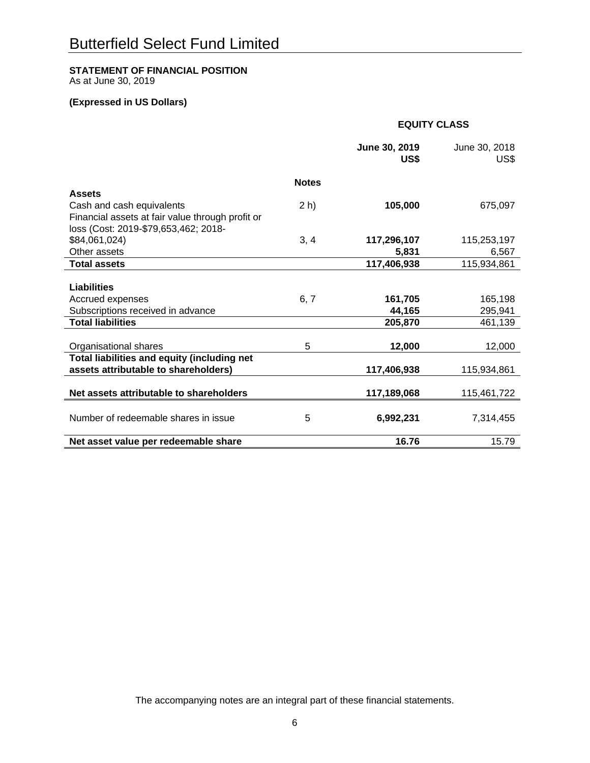# **STATEMENT OF FINANCIAL POSITION**

As at June 30, 2019

# **(Expressed in US Dollars)**

 **EQUITY CLASS** 

|                                                  |              | June 30, 2019<br>US\$ | June 30, 2018<br>US\$ |
|--------------------------------------------------|--------------|-----------------------|-----------------------|
|                                                  | <b>Notes</b> |                       |                       |
| <b>Assets</b>                                    |              |                       |                       |
| Cash and cash equivalents                        | $2 h$ )      | 105,000               | 675,097               |
| Financial assets at fair value through profit or |              |                       |                       |
| loss (Cost: 2019-\$79,653,462; 2018-             |              |                       |                       |
| \$84,061,024)                                    | 3, 4         | 117,296,107           | 115,253,197           |
| Other assets                                     |              | 5,831                 | 6,567                 |
| <b>Total assets</b>                              |              | 117,406,938           | 115,934,861           |
|                                                  |              |                       |                       |
| <b>Liabilities</b>                               |              |                       |                       |
| Accrued expenses                                 | 6, 7         | 161,705               | 165,198               |
| Subscriptions received in advance                |              | 44,165                | 295,941               |
| <b>Total liabilities</b>                         |              | 205,870               | 461,139               |
|                                                  |              |                       |                       |
| Organisational shares                            | 5            | 12,000                | 12,000                |
| Total liabilities and equity (including net      |              |                       |                       |
| assets attributable to shareholders)             |              | 117,406,938           | 115,934,861           |
| Net assets attributable to shareholders          |              | 117,189,068           | 115,461,722           |
|                                                  |              |                       |                       |
| Number of redeemable shares in issue             | 5            | 6,992,231             | 7,314,455             |
|                                                  |              |                       |                       |
| Net asset value per redeemable share             |              | 16.76                 | 15.79                 |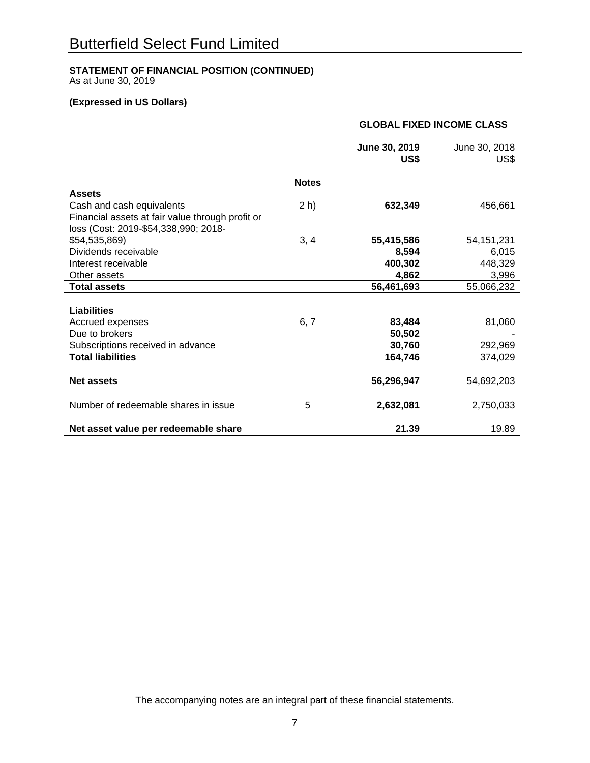# **STATEMENT OF FINANCIAL POSITION (CONTINUED)**

As at June 30, 2019

# **(Expressed in US Dollars)**

| <b>GLOBAL FIXED INCOME CLASS</b> |
|----------------------------------|
|----------------------------------|

|                                                  |              | June 30, 2019<br>US\$ | June 30, 2018<br>US\$ |
|--------------------------------------------------|--------------|-----------------------|-----------------------|
|                                                  | <b>Notes</b> |                       |                       |
| <b>Assets</b>                                    |              |                       |                       |
| Cash and cash equivalents                        | 2 h)         | 632,349               | 456,661               |
| Financial assets at fair value through profit or |              |                       |                       |
| loss (Cost: 2019-\$54,338,990; 2018-             |              |                       |                       |
| \$54,535,869)                                    | 3, 4         | 55,415,586            | 54, 151, 231          |
| Dividends receivable                             |              | 8,594                 | 6,015                 |
| Interest receivable                              |              | 400,302               | 448,329               |
| Other assets                                     |              | 4,862                 | 3,996                 |
| <b>Total assets</b>                              |              | 56,461,693            | 55,066,232            |
|                                                  |              |                       |                       |
| <b>Liabilities</b>                               |              |                       |                       |
| Accrued expenses                                 | 6, 7         | 83,484                | 81,060                |
| Due to brokers                                   |              | 50,502                |                       |
| Subscriptions received in advance                |              | 30,760                | 292,969               |
| <b>Total liabilities</b>                         |              | 164,746               | 374,029               |
|                                                  |              |                       |                       |
| <b>Net assets</b>                                |              | 56,296,947            | 54,692,203            |
|                                                  |              |                       |                       |
| Number of redeemable shares in issue             | 5            | 2,632,081             | 2,750,033             |
| Net asset value per redeemable share             |              | 21.39                 | 19.89                 |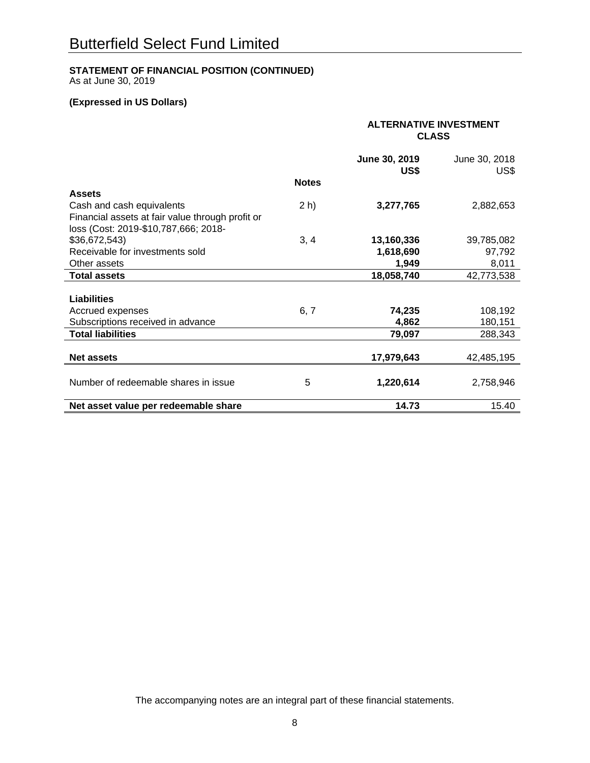# **STATEMENT OF FINANCIAL POSITION (CONTINUED)**

As at June 30, 2019

# **(Expressed in US Dollars)**

|                                                  |              | <b>ALTERNATIVE INVESTMENT</b><br><b>CLASS</b> |                       |  |
|--------------------------------------------------|--------------|-----------------------------------------------|-----------------------|--|
|                                                  |              | June 30, 2019<br>US\$                         | June 30, 2018<br>US\$ |  |
|                                                  | <b>Notes</b> |                                               |                       |  |
| <b>Assets</b>                                    |              |                                               |                       |  |
| Cash and cash equivalents                        | 2 h)         | 3,277,765                                     | 2,882,653             |  |
| Financial assets at fair value through profit or |              |                                               |                       |  |
| loss (Cost: 2019-\$10,787,666; 2018-             |              |                                               |                       |  |
| \$36,672,543)                                    | 3, 4         | 13,160,336                                    | 39,785,082            |  |
| Receivable for investments sold                  |              | 1,618,690                                     | 97,792                |  |
| Other assets                                     |              | 1,949                                         | 8,011                 |  |
| <b>Total assets</b>                              |              | 18,058,740                                    | 42,773,538            |  |
|                                                  |              |                                               |                       |  |
| <b>Liabilities</b>                               |              |                                               |                       |  |
| Accrued expenses                                 | 6, 7         | 74,235                                        | 108,192               |  |
| Subscriptions received in advance                |              | 4,862                                         | 180,151               |  |
| <b>Total liabilities</b>                         |              | 79,097                                        | 288,343               |  |
|                                                  |              |                                               |                       |  |
| <b>Net assets</b>                                |              | 17,979,643                                    | 42,485,195            |  |
|                                                  |              |                                               |                       |  |
| Number of redeemable shares in issue             | 5            | 1,220,614                                     | 2,758,946             |  |
| Net asset value per redeemable share             |              | 14.73                                         | 15.40                 |  |
|                                                  |              |                                               |                       |  |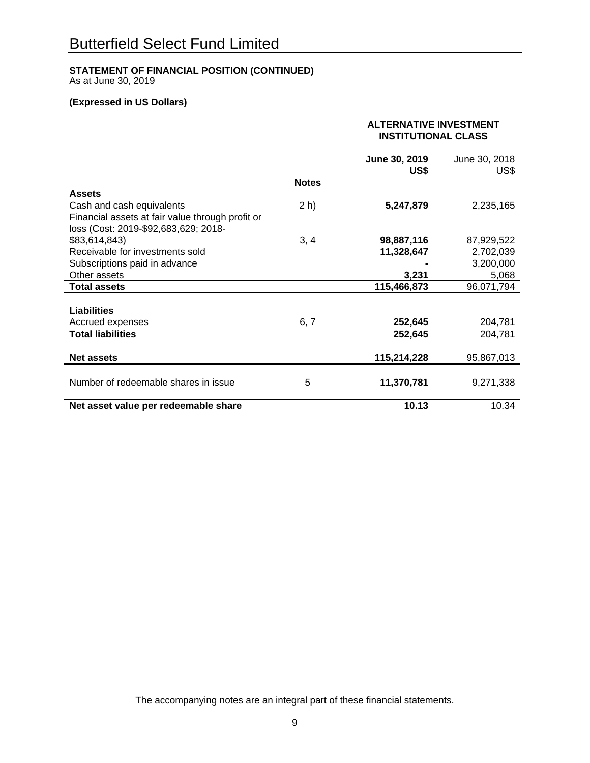# **STATEMENT OF FINANCIAL POSITION (CONTINUED)**

As at June 30, 2019

# **(Expressed in US Dollars)**

|                                                  |              | <b>ALTERNATIVE INVESTMENT</b><br><b>INSTITUTIONAL CLASS</b> |                       |  |
|--------------------------------------------------|--------------|-------------------------------------------------------------|-----------------------|--|
|                                                  |              | June 30, 2019<br>US\$                                       | June 30, 2018<br>US\$ |  |
|                                                  | <b>Notes</b> |                                                             |                       |  |
| <b>Assets</b>                                    |              |                                                             |                       |  |
| Cash and cash equivalents                        | $2 h$ )      | 5,247,879                                                   | 2,235,165             |  |
| Financial assets at fair value through profit or |              |                                                             |                       |  |
| loss (Cost: 2019-\$92,683,629; 2018-             |              |                                                             |                       |  |
| \$83,614,843)                                    | 3, 4         | 98,887,116                                                  | 87,929,522            |  |
| Receivable for investments sold                  |              | 11,328,647                                                  | 2,702,039             |  |
| Subscriptions paid in advance                    |              |                                                             | 3,200,000             |  |
| Other assets                                     |              | 3,231                                                       | 5,068                 |  |
| <b>Total assets</b>                              |              | 115,466,873                                                 | 96,071,794            |  |
|                                                  |              |                                                             |                       |  |
| <b>Liabilities</b>                               |              |                                                             |                       |  |
| Accrued expenses                                 | 6, 7         | 252,645                                                     | 204,781               |  |
| <b>Total liabilities</b>                         |              | 252,645                                                     | 204,781               |  |
|                                                  |              |                                                             |                       |  |
| <b>Net assets</b>                                |              | 115,214,228                                                 | 95,867,013            |  |
|                                                  |              |                                                             |                       |  |
| Number of redeemable shares in issue             | 5            | 11,370,781                                                  | 9,271,338             |  |
|                                                  |              |                                                             |                       |  |
| Net asset value per redeemable share             |              | 10.13                                                       | 10.34                 |  |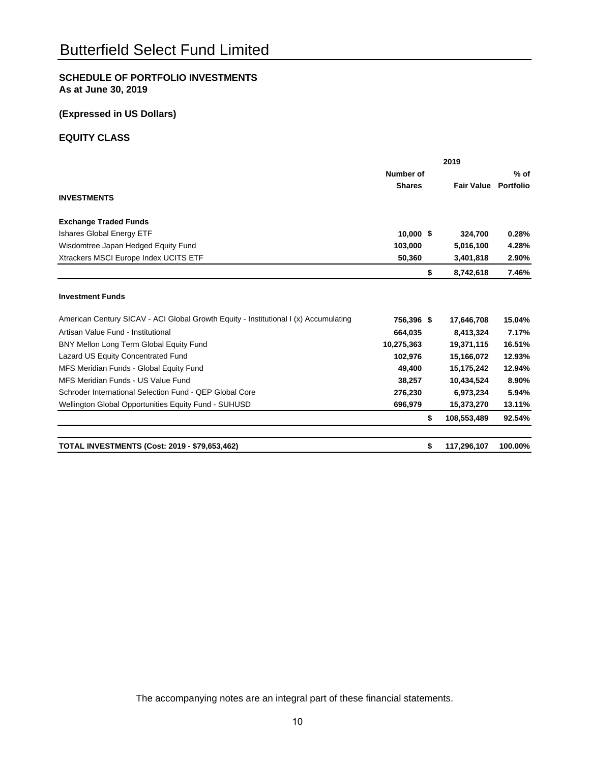# **SCHEDULE OF PORTFOLIO INVESTMENTS As at June 30, 2019**

# **(Expressed in US Dollars)**

# **EQUITY CLASS**

|                                                                                      | 2019          |    |                             |         |  |
|--------------------------------------------------------------------------------------|---------------|----|-----------------------------|---------|--|
|                                                                                      | Number of     |    |                             | $%$ of  |  |
|                                                                                      | <b>Shares</b> |    | <b>Fair Value Portfolio</b> |         |  |
| <b>INVESTMENTS</b>                                                                   |               |    |                             |         |  |
| <b>Exchange Traded Funds</b>                                                         |               |    |                             |         |  |
| <b>Ishares Global Energy ETF</b>                                                     | $10,000$ \$   |    | 324,700                     | 0.28%   |  |
| Wisdomtree Japan Hedged Equity Fund                                                  | 103.000       |    | 5,016,100                   | 4.28%   |  |
| Xtrackers MSCI Europe Index UCITS ETF                                                | 50,360        |    | 3,401,818                   | 2.90%   |  |
|                                                                                      |               | \$ | 8,742,618                   | 7.46%   |  |
| <b>Investment Funds</b>                                                              |               |    |                             |         |  |
| American Century SICAV - ACI Global Growth Equity - Institutional I (x) Accumulating | 756,396 \$    |    | 17,646,708                  | 15.04%  |  |
| Artisan Value Fund - Institutional                                                   | 664.035       |    | 8,413,324                   | 7.17%   |  |
| BNY Mellon Long Term Global Equity Fund                                              | 10,275,363    |    | 19,371,115                  | 16.51%  |  |
| Lazard US Equity Concentrated Fund                                                   | 102,976       |    | 15,166,072                  | 12.93%  |  |
| MFS Meridian Funds - Global Equity Fund                                              | 49,400        |    | 15,175,242                  | 12.94%  |  |
| MFS Meridian Funds - US Value Fund                                                   | 38,257        |    | 10,434,524                  | 8.90%   |  |
| Schroder International Selection Fund - QEP Global Core                              | 276,230       |    | 6,973,234                   | 5.94%   |  |
| Wellington Global Opportunities Equity Fund - SUHUSD                                 | 696,979       |    | 15,373,270                  | 13.11%  |  |
|                                                                                      |               | \$ | 108,553,489                 | 92.54%  |  |
| <b>TOTAL INVESTMENTS (Cost: 2019 - \$79,653,462)</b>                                 |               | \$ | 117,296,107                 | 100.00% |  |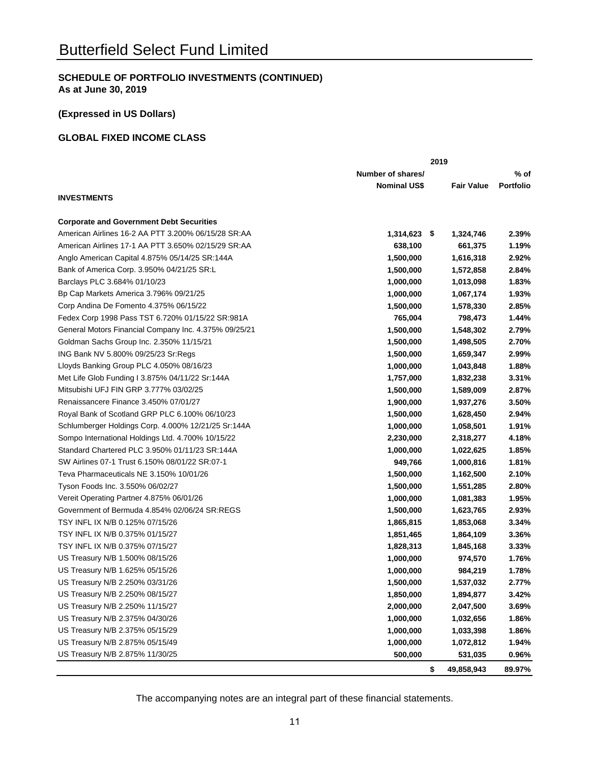# **(Expressed in US Dollars)**

# **GLOBAL FIXED INCOME CLASS**

|                                                       |                     | 2019 |                   |                  |
|-------------------------------------------------------|---------------------|------|-------------------|------------------|
|                                                       | Number of shares/   |      |                   | % of             |
|                                                       | <b>Nominal US\$</b> |      | <b>Fair Value</b> | <b>Portfolio</b> |
| <b>INVESTMENTS</b>                                    |                     |      |                   |                  |
| <b>Corporate and Government Debt Securities</b>       |                     |      |                   |                  |
| American Airlines 16-2 AA PTT 3.200% 06/15/28 SR:AA   | $1,314,623$ \$      |      | 1,324,746         | 2.39%            |
| American Airlines 17-1 AA PTT 3.650% 02/15/29 SR:AA   | 638,100             |      | 661,375           | 1.19%            |
| Anglo American Capital 4.875% 05/14/25 SR:144A        | 1,500,000           |      | 1,616,318         | 2.92%            |
| Bank of America Corp. 3.950% 04/21/25 SR:L            | 1,500,000           |      | 1,572,858         | 2.84%            |
| Barclays PLC 3.684% 01/10/23                          | 1,000,000           |      | 1,013,098         | 1.83%            |
| Bp Cap Markets America 3.796% 09/21/25                | 1,000,000           |      | 1,067,174         | 1.93%            |
| Corp Andina De Fomento 4.375% 06/15/22                | 1,500,000           |      | 1,578,330         | 2.85%            |
| Fedex Corp 1998 Pass TST 6.720% 01/15/22 SR:981A      | 765,004             |      | 798,473           | 1.44%            |
| General Motors Financial Company Inc. 4.375% 09/25/21 | 1,500,000           |      | 1,548,302         | 2.79%            |
| Goldman Sachs Group Inc. 2.350% 11/15/21              | 1,500,000           |      | 1,498,505         | 2.70%            |
| ING Bank NV 5.800% 09/25/23 Sr:Regs                   | 1,500,000           |      | 1,659,347         | 2.99%            |
| Lloyds Banking Group PLC 4.050% 08/16/23              | 1,000,000           |      | 1,043,848         | 1.88%            |
| Met Life Glob Funding I 3.875% 04/11/22 Sr:144A       | 1,757,000           |      | 1,832,238         | 3.31%            |
| Mitsubishi UFJ FIN GRP 3.777% 03/02/25                | 1,500,000           |      | 1,589,009         | 2.87%            |
| Renaissancere Finance 3.450% 07/01/27                 | 1,900,000           |      | 1,937,276         | 3.50%            |
| Royal Bank of Scotland GRP PLC 6.100% 06/10/23        | 1,500,000           |      | 1,628,450         | 2.94%            |
| Schlumberger Holdings Corp. 4.000% 12/21/25 Sr:144A   | 1,000,000           |      | 1,058,501         | 1.91%            |
| Sompo International Holdings Ltd. 4.700% 10/15/22     | 2,230,000           |      | 2,318,277         | 4.18%            |
| Standard Chartered PLC 3.950% 01/11/23 SR:144A        | 1,000,000           |      | 1,022,625         | 1.85%            |
| SW Airlines 07-1 Trust 6.150% 08/01/22 SR:07-1        | 949,766             |      | 1,000,816         | 1.81%            |
| Teva Pharmaceuticals NE 3.150% 10/01/26               | 1,500,000           |      | 1,162,500         | 2.10%            |
| Tyson Foods Inc. 3.550% 06/02/27                      | 1,500,000           |      | 1,551,285         | 2.80%            |
| Vereit Operating Partner 4.875% 06/01/26              | 1,000,000           |      | 1,081,383         | 1.95%            |
| Government of Bermuda 4.854% 02/06/24 SR:REGS         | 1,500,000           |      | 1,623,765         | 2.93%            |
| TSY INFL IX N/B 0.125% 07/15/26                       | 1,865,815           |      | 1,853,068         | 3.34%            |
| TSY INFL IX N/B 0.375% 01/15/27                       | 1,851,465           |      | 1,864,109         | 3.36%            |
| TSY INFL IX N/B 0.375% 07/15/27                       | 1,828,313           |      | 1,845,168         | 3.33%            |
| US Treasury N/B 1.500% 08/15/26                       | 1,000,000           |      | 974,570           | 1.76%            |
| US Treasury N/B 1.625% 05/15/26                       | 1,000,000           |      | 984,219           | 1.78%            |
| US Treasury N/B 2.250% 03/31/26                       | 1,500,000           |      | 1,537,032         | 2.77%            |
| US Treasury N/B 2.250% 08/15/27                       | 1,850,000           |      | 1,894,877         | 3.42%            |
| US Treasury N/B 2.250% 11/15/27                       | 2,000,000           |      | 2,047,500         | 3.69%            |
| US Treasury N/B 2.375% 04/30/26                       | 1,000,000           |      | 1,032,656         | 1.86%            |
| US Treasury N/B 2.375% 05/15/29                       | 1,000,000           |      | 1,033,398         | 1.86%            |
| US Treasury N/B 2.875% 05/15/49                       | 1,000,000           |      | 1,072,812         | 1.94%            |
| US Treasury N/B 2.875% 11/30/25                       | 500,000             |      | 531,035           | 0.96%            |
|                                                       |                     | \$   | 49,858,943        | 89.97%           |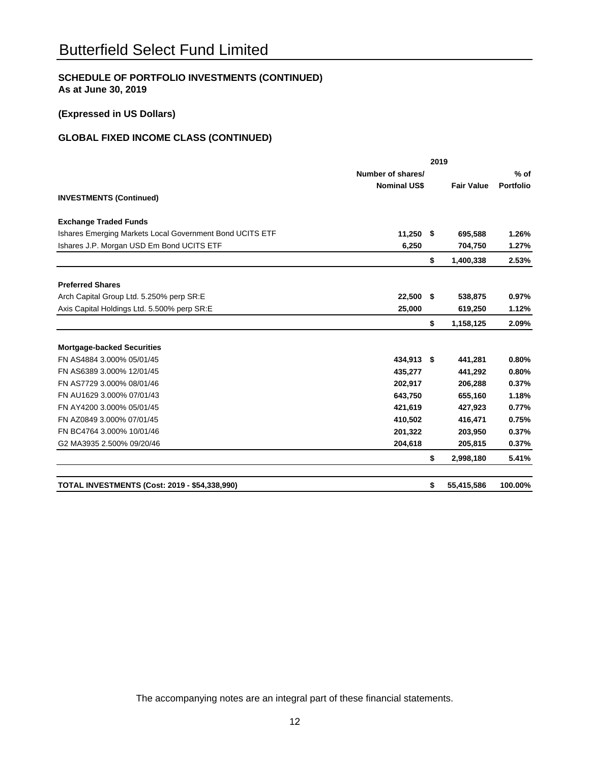# **(Expressed in US Dollars)**

# **GLOBAL FIXED INCOME CLASS (CONTINUED)**

|                                                          |                     | 2019 |                   |                  |
|----------------------------------------------------------|---------------------|------|-------------------|------------------|
|                                                          | Number of shares/   |      |                   | $%$ of           |
|                                                          | <b>Nominal US\$</b> |      | <b>Fair Value</b> | <b>Portfolio</b> |
| <b>INVESTMENTS (Continued)</b>                           |                     |      |                   |                  |
| <b>Exchange Traded Funds</b>                             |                     |      |                   |                  |
| Ishares Emerging Markets Local Government Bond UCITS ETF | $11,250$ \$         |      | 695,588           | 1.26%            |
| Ishares J.P. Morgan USD Em Bond UCITS ETF                | 6,250               |      | 704,750           | 1.27%            |
|                                                          |                     | \$   | 1,400,338         | 2.53%            |
| <b>Preferred Shares</b>                                  |                     |      |                   |                  |
| Arch Capital Group Ltd. 5.250% perp SR:E                 | 22,500 \$           |      | 538,875           | 0.97%            |
| Axis Capital Holdings Ltd. 5.500% perp SR:E              | 25.000              |      | 619,250           | 1.12%            |
|                                                          |                     | \$   | 1,158,125         | 2.09%            |
| <b>Mortgage-backed Securities</b>                        |                     |      |                   |                  |
| FN AS4884 3.000% 05/01/45                                | 434,913 \$          |      | 441,281           | 0.80%            |
| FN AS6389 3.000% 12/01/45                                | 435,277             |      | 441,292           | 0.80%            |
| FN AS7729 3.000% 08/01/46                                | 202,917             |      | 206,288           | 0.37%            |
| FN AU1629 3.000% 07/01/43                                | 643,750             |      | 655,160           | 1.18%            |
| FN AY4200 3.000% 05/01/45                                | 421,619             |      | 427,923           | 0.77%            |
| FN AZ0849 3.000% 07/01/45                                | 410,502             |      | 416,471           | 0.75%            |
| FN BC4764 3.000% 10/01/46                                | 201,322             |      | 203,950           | 0.37%            |
| G2 MA3935 2.500% 09/20/46                                | 204,618             |      | 205,815           | 0.37%            |
|                                                          |                     | \$   | 2,998,180         | 5.41%            |
| <b>TOTAL INVESTMENTS (Cost: 2019 - \$54,338,990)</b>     |                     | \$   | 55,415,586        | 100.00%          |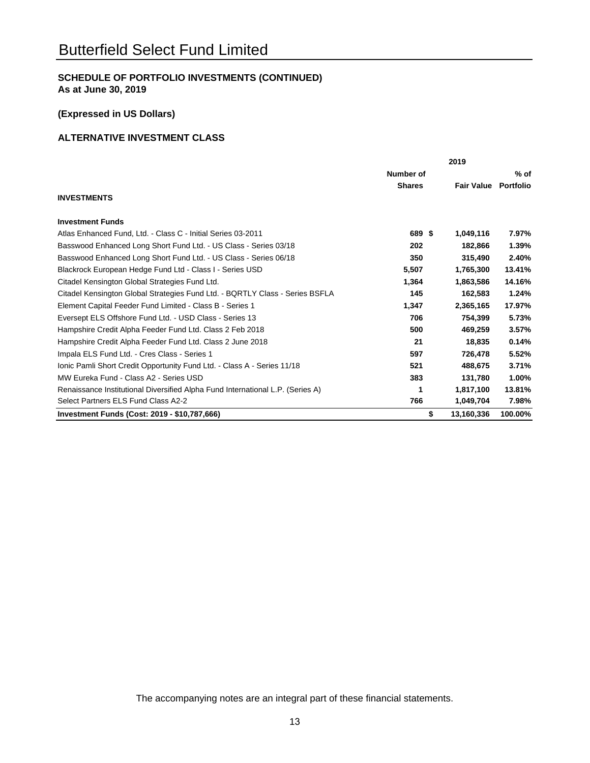# **(Expressed in US Dollars)**

# **ALTERNATIVE INVESTMENT CLASS**

|                                                                                | 2019          |    |                   |           |
|--------------------------------------------------------------------------------|---------------|----|-------------------|-----------|
|                                                                                | Number of     |    |                   | % of      |
|                                                                                | <b>Shares</b> |    | <b>Fair Value</b> | Portfolio |
| <b>INVESTMENTS</b>                                                             |               |    |                   |           |
| <b>Investment Funds</b>                                                        |               |    |                   |           |
| Atlas Enhanced Fund, Ltd. - Class C - Initial Series 03-2011                   | 689 \$        |    | 1,049,116         | 7.97%     |
| Basswood Enhanced Long Short Fund Ltd. - US Class - Series 03/18               | 202           |    | 182,866           | 1.39%     |
| Basswood Enhanced Long Short Fund Ltd. - US Class - Series 06/18               | 350           |    | 315.490           | 2.40%     |
| Blackrock European Hedge Fund Ltd - Class I - Series USD                       | 5,507         |    | 1,765,300         | 13.41%    |
| Citadel Kensington Global Strategies Fund Ltd.                                 | 1,364         |    | 1,863,586         | 14.16%    |
| Citadel Kensington Global Strategies Fund Ltd. - BQRTLY Class - Series BSFLA   | 145           |    | 162,583           | 1.24%     |
| Element Capital Feeder Fund Limited - Class B - Series 1                       | 1,347         |    | 2,365,165         | 17.97%    |
| Eversept ELS Offshore Fund Ltd. - USD Class - Series 13                        | 706           |    | 754,399           | 5.73%     |
| Hampshire Credit Alpha Feeder Fund Ltd. Class 2 Feb 2018                       | 500           |    | 469,259           | 3.57%     |
| Hampshire Credit Alpha Feeder Fund Ltd. Class 2 June 2018                      | 21            |    | 18,835            | 0.14%     |
| Impala ELS Fund Ltd. - Cres Class - Series 1                                   | 597           |    | 726,478           | 5.52%     |
| Ionic Pamli Short Credit Opportunity Fund Ltd. - Class A - Series 11/18        | 521           |    | 488,675           | 3.71%     |
| MW Eureka Fund - Class A2 - Series USD                                         | 383           |    | 131,780           | 1.00%     |
| Renaissance Institutional Diversified Alpha Fund International L.P. (Series A) | 1             |    | 1,817,100         | 13.81%    |
| Select Partners ELS Fund Class A2-2                                            | 766           |    | 1,049,704         | 7.98%     |
| Investment Funds (Cost: 2019 - \$10,787,666)                                   |               | \$ | 13,160,336        | 100.00%   |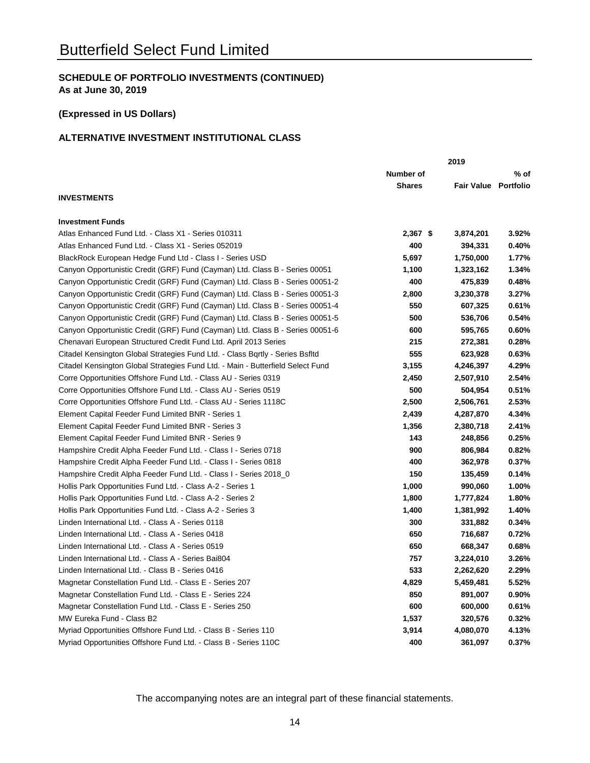# **(Expressed in US Dollars)**

# **ALTERNATIVE INVESTMENT INSTITUTIONAL CLASS**

|                                                                                 | 2019          |                             |       |  |
|---------------------------------------------------------------------------------|---------------|-----------------------------|-------|--|
|                                                                                 | Number of     |                             | % of  |  |
|                                                                                 | <b>Shares</b> | <b>Fair Value Portfolio</b> |       |  |
| <b>INVESTMENTS</b>                                                              |               |                             |       |  |
| <b>Investment Funds</b>                                                         |               |                             |       |  |
| Atlas Enhanced Fund Ltd. - Class X1 - Series 010311                             | $2,367$ \$    | 3,874,201                   | 3.92% |  |
| Atlas Enhanced Fund Ltd. - Class X1 - Series 052019                             | 400           | 394,331                     | 0.40% |  |
| BlackRock European Hedge Fund Ltd - Class I - Series USD                        | 5,697         | 1,750,000                   | 1.77% |  |
| Canyon Opportunistic Credit (GRF) Fund (Cayman) Ltd. Class B - Series 00051     | 1,100         | 1,323,162                   | 1.34% |  |
| Canyon Opportunistic Credit (GRF) Fund (Cayman) Ltd. Class B - Series 00051-2   | 400           | 475,839                     | 0.48% |  |
| Canyon Opportunistic Credit (GRF) Fund (Cayman) Ltd. Class B - Series 00051-3   | 2,800         | 3,230,378                   | 3.27% |  |
| Canyon Opportunistic Credit (GRF) Fund (Cayman) Ltd. Class B - Series 00051-4   | 550           | 607,325                     | 0.61% |  |
| Canyon Opportunistic Credit (GRF) Fund (Cayman) Ltd. Class B - Series 00051-5   | 500           | 536,706                     | 0.54% |  |
| Canyon Opportunistic Credit (GRF) Fund (Cayman) Ltd. Class B - Series 00051-6   | 600           | 595,765                     | 0.60% |  |
| Chenavari European Structured Credit Fund Ltd. April 2013 Series                | 215           | 272,381                     | 0.28% |  |
| Citadel Kensington Global Strategies Fund Ltd. - Class Bqrtly - Series Bsfltd   | 555           | 623,928                     | 0.63% |  |
| Citadel Kensington Global Strategies Fund Ltd. - Main - Butterfield Select Fund | 3,155         | 4,246,397                   | 4.29% |  |
| Corre Opportunities Offshore Fund Ltd. - Class AU - Series 0319                 | 2,450         | 2,507,910                   | 2.54% |  |
| Corre Opportunities Offshore Fund Ltd. - Class AU - Series 0519                 | 500           | 504,954                     | 0.51% |  |
| Corre Opportunities Offshore Fund Ltd. - Class AU - Series 1118C                | 2,500         | 2,506,761                   | 2.53% |  |
| Element Capital Feeder Fund Limited BNR - Series 1                              | 2,439         | 4,287,870                   | 4.34% |  |
| Element Capital Feeder Fund Limited BNR - Series 3                              | 1,356         | 2,380,718                   | 2.41% |  |
| Element Capital Feeder Fund Limited BNR - Series 9                              | 143           | 248,856                     | 0.25% |  |
| Hampshire Credit Alpha Feeder Fund Ltd. - Class I - Series 0718                 | 900           | 806,984                     | 0.82% |  |
| Hampshire Credit Alpha Feeder Fund Ltd. - Class I - Series 0818                 | 400           | 362,978                     | 0.37% |  |
| Hampshire Credit Alpha Feeder Fund Ltd. - Class I - Series 2018_0               | 150           | 135,459                     | 0.14% |  |
| Hollis Park Opportunities Fund Ltd. - Class A-2 - Series 1                      | 1,000         | 990,060                     | 1.00% |  |
| Hollis Park Opportunities Fund Ltd. - Class A-2 - Series 2                      | 1,800         | 1,777,824                   | 1.80% |  |
| Hollis Park Opportunities Fund Ltd. - Class A-2 - Series 3                      | 1,400         | 1,381,992                   | 1.40% |  |
| Linden International Ltd. - Class A - Series 0118                               | 300           | 331,882                     | 0.34% |  |
| Linden International Ltd. - Class A - Series 0418                               | 650           | 716,687                     | 0.72% |  |
| Linden International Ltd. - Class A - Series 0519                               | 650           | 668,347                     | 0.68% |  |
| Linden International Ltd. - Class A - Series Bai804                             | 757           | 3,224,010                   | 3.26% |  |
| Linden International Ltd. - Class B - Series 0416                               | 533           | 2,262,620                   | 2.29% |  |
| Magnetar Constellation Fund Ltd. - Class E - Series 207                         | 4,829         | 5,459,481                   | 5.52% |  |
| Magnetar Constellation Fund Ltd. - Class E - Series 224                         | 850           | 891,007                     | 0.90% |  |
| Magnetar Constellation Fund Ltd. - Class E - Series 250                         | 600           | 600,000                     | 0.61% |  |
| MW Eureka Fund - Class B2                                                       | 1,537         | 320,576                     | 0.32% |  |
| Myriad Opportunities Offshore Fund Ltd. - Class B - Series 110                  | 3,914         | 4,080,070                   | 4.13% |  |
| Myriad Opportunities Offshore Fund Ltd. - Class B - Series 110C                 | 400           | 361,097                     | 0.37% |  |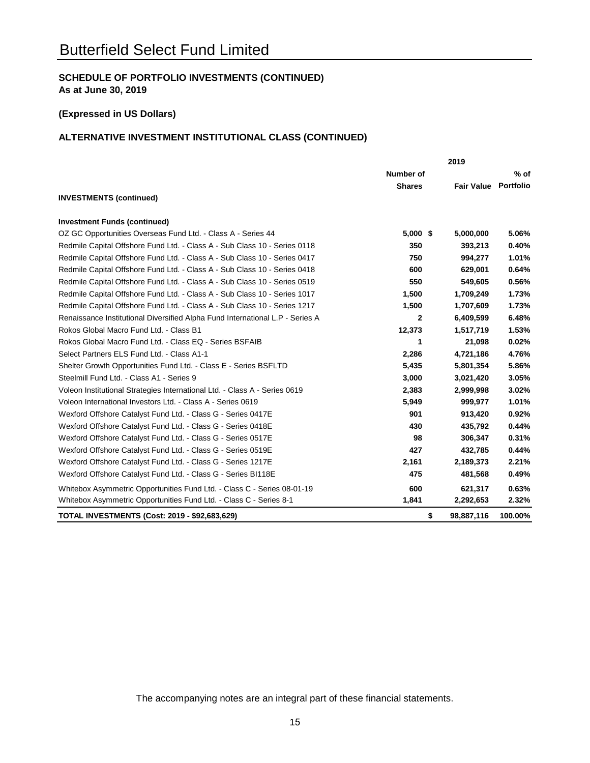### **(Expressed in US Dollars)**

# **ALTERNATIVE INVESTMENT INSTITUTIONAL CLASS (CONTINUED)**

|                                                                               | 2019             |    |                   |                  |
|-------------------------------------------------------------------------------|------------------|----|-------------------|------------------|
|                                                                               | <b>Number of</b> |    |                   | $%$ of           |
|                                                                               | <b>Shares</b>    |    | <b>Fair Value</b> | <b>Portfolio</b> |
| <b>INVESTMENTS (continued)</b>                                                |                  |    |                   |                  |
| <b>Investment Funds (continued)</b>                                           |                  |    |                   |                  |
| OZ GC Opportunities Overseas Fund Ltd. - Class A - Series 44                  | $5,000$ \$       |    | 5,000,000         | 5.06%            |
| Redmile Capital Offshore Fund Ltd. - Class A - Sub Class 10 - Series 0118     | 350              |    | 393,213           | 0.40%            |
| Redmile Capital Offshore Fund Ltd. - Class A - Sub Class 10 - Series 0417     | 750              |    | 994,277           | 1.01%            |
| Redmile Capital Offshore Fund Ltd. - Class A - Sub Class 10 - Series 0418     | 600              |    | 629,001           | 0.64%            |
| Redmile Capital Offshore Fund Ltd. - Class A - Sub Class 10 - Series 0519     | 550              |    | 549,605           | 0.56%            |
| Redmile Capital Offshore Fund Ltd. - Class A - Sub Class 10 - Series 1017     | 1,500            |    | 1,709,249         | 1.73%            |
| Redmile Capital Offshore Fund Ltd. - Class A - Sub Class 10 - Series 1217     | 1,500            |    | 1,707,609         | 1.73%            |
| Renaissance Institutional Diversified Alpha Fund International L.P - Series A | $\mathbf{2}$     |    | 6,409,599         | 6.48%            |
| Rokos Global Macro Fund Ltd. - Class B1                                       | 12,373           |    | 1,517,719         | 1.53%            |
| Rokos Global Macro Fund Ltd. - Class EQ - Series BSFAIB                       | 1                |    | 21,098            | 0.02%            |
| Select Partners ELS Fund Ltd. - Class A1-1                                    | 2,286            |    | 4,721,186         | 4.76%            |
| Shelter Growth Opportunities Fund Ltd. - Class E - Series BSFLTD              | 5,435            |    | 5,801,354         | 5.86%            |
| Steelmill Fund Ltd. - Class A1 - Series 9                                     | 3,000            |    | 3,021,420         | 3.05%            |
| Voleon Institutional Strategies International Ltd. - Class A - Series 0619    | 2,383            |    | 2,999,998         | 3.02%            |
| Voleon International Investors Ltd. - Class A - Series 0619                   | 5,949            |    | 999,977           | 1.01%            |
| Wexford Offshore Catalyst Fund Ltd. - Class G - Series 0417E                  | 901              |    | 913,420           | 0.92%            |
| Wexford Offshore Catalyst Fund Ltd. - Class G - Series 0418E                  | 430              |    | 435,792           | 0.44%            |
| Wexford Offshore Catalyst Fund Ltd. - Class G - Series 0517E                  | 98               |    | 306,347           | 0.31%            |
| Wexford Offshore Catalyst Fund Ltd. - Class G - Series 0519E                  | 427              |    | 432,785           | 0.44%            |
| Wexford Offshore Catalyst Fund Ltd. - Class G - Series 1217E                  | 2,161            |    | 2,189,373         | 2.21%            |
| Wexford Offshore Catalyst Fund Ltd. - Class G - Series BI118E                 | 475              |    | 481,568           | 0.49%            |
| Whitebox Asymmetric Opportunities Fund Ltd. - Class C - Series 08-01-19       | 600              |    | 621,317           | 0.63%            |
| Whitebox Asymmetric Opportunities Fund Ltd. - Class C - Series 8-1            | 1,841            |    | 2,292,653         | 2.32%            |
| <b>TOTAL INVESTMENTS (Cost: 2019 - \$92,683,629)</b>                          |                  | \$ | 98,887,116        | 100.00%          |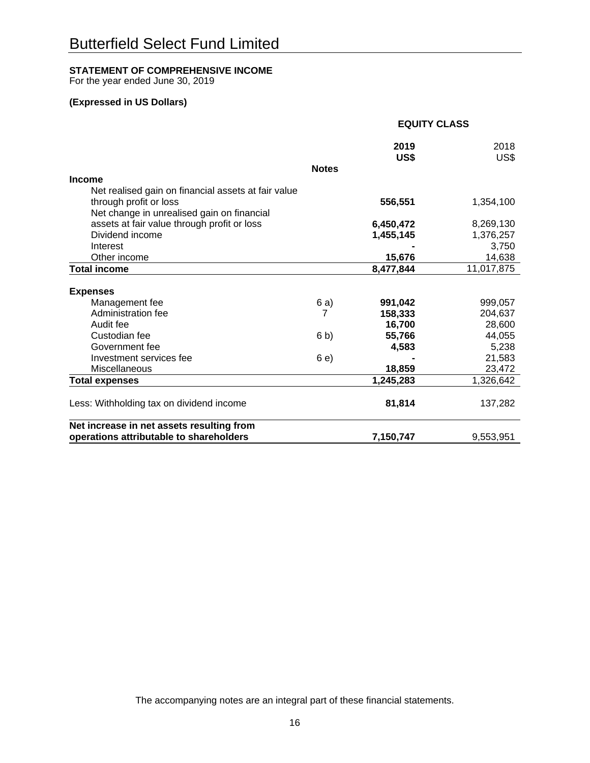# **STATEMENT OF COMPREHENSIVE INCOME**

For the year ended June 30, 2019

# **(Expressed in US Dollars)**

|                                                     |              | <b>EQUITY CLASS</b> |              |  |
|-----------------------------------------------------|--------------|---------------------|--------------|--|
|                                                     |              | 2019<br>US\$        | 2018<br>US\$ |  |
|                                                     | <b>Notes</b> |                     |              |  |
| <b>Income</b>                                       |              |                     |              |  |
| Net realised gain on financial assets at fair value |              |                     |              |  |
| through profit or loss                              |              | 556,551             | 1,354,100    |  |
| Net change in unrealised gain on financial          |              |                     |              |  |
| assets at fair value through profit or loss         |              | 6,450,472           | 8,269,130    |  |
| Dividend income                                     |              | 1,455,145           | 1,376,257    |  |
| Interest                                            |              |                     | 3,750        |  |
| Other income                                        |              | 15,676              | 14,638       |  |
| <b>Total income</b>                                 |              | 8,477,844           | 11,017,875   |  |
| <b>Expenses</b>                                     |              |                     |              |  |
| Management fee                                      | 6 a)         | 991,042             | 999,057      |  |
| Administration fee                                  | 7            | 158,333             | 204,637      |  |
| Audit fee                                           |              | 16,700              | 28,600       |  |
| Custodian fee                                       | 6 b)         | 55,766              | 44,055       |  |
| Government fee                                      |              | 4,583               | 5,238        |  |
| Investment services fee                             | 6 e)         |                     | 21,583       |  |
| Miscellaneous                                       |              | 18,859              | 23,472       |  |
| <b>Total expenses</b>                               |              | 1,245,283           | 1,326,642    |  |
| Less: Withholding tax on dividend income            |              | 81,814              | 137,282      |  |
| Net increase in net assets resulting from           |              |                     |              |  |
| operations attributable to shareholders             |              | 7,150,747           | 9,553,951    |  |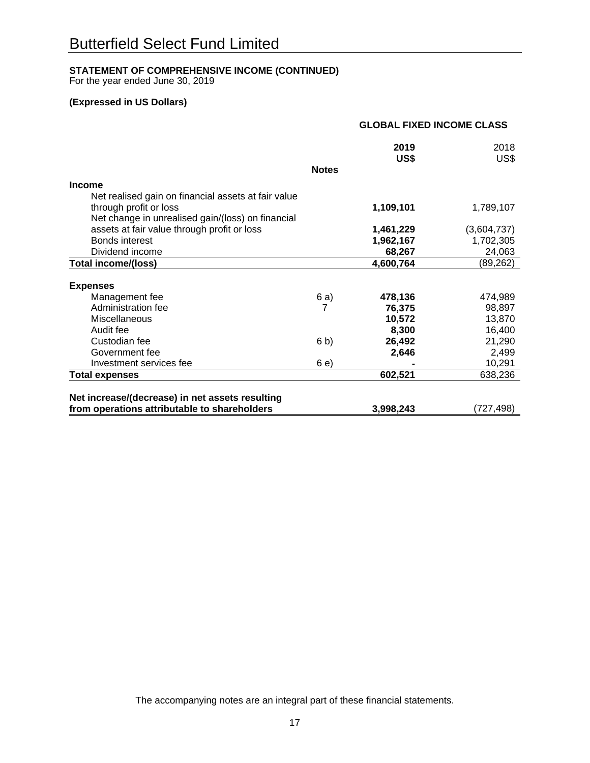# **STATEMENT OF COMPREHENSIVE INCOME (CONTINUED)**

For the year ended June 30, 2019

# **(Expressed in US Dollars)**

|                                                     |              | <b>GLOBAL FIXED INCOME CLASS</b> |              |
|-----------------------------------------------------|--------------|----------------------------------|--------------|
|                                                     |              | 2019<br>US\$                     | 2018<br>US\$ |
|                                                     | <b>Notes</b> |                                  |              |
| <b>Income</b>                                       |              |                                  |              |
| Net realised gain on financial assets at fair value |              |                                  |              |
| through profit or loss                              |              | 1,109,101                        | 1,789,107    |
| Net change in unrealised gain/(loss) on financial   |              |                                  |              |
| assets at fair value through profit or loss         |              | 1,461,229                        | (3,604,737)  |
| Bonds interest                                      |              | 1,962,167                        | 1,702,305    |
| Dividend income                                     |              | 68,267                           | 24,063       |
| Total income/(loss)                                 |              | 4,600,764                        | (89, 262)    |
| <b>Expenses</b>                                     |              |                                  |              |
| Management fee                                      | 6 a)         | 478,136                          | 474,989      |
| Administration fee                                  | 7            | 76,375                           | 98,897       |
| <b>Miscellaneous</b>                                |              | 10,572                           | 13,870       |
| Audit fee                                           |              | 8,300                            | 16,400       |
| Custodian fee                                       | 6 b)         | 26,492                           | 21,290       |
| Government fee                                      |              | 2,646                            | 2,499        |
| Investment services fee                             | 6 e)         |                                  | 10,291       |
| <b>Total expenses</b>                               |              | 602,521                          | 638,236      |
|                                                     |              |                                  |              |
| Net increase/(decrease) in net assets resulting     |              |                                  |              |
| from operations attributable to shareholders        |              | 3,998,243                        | (727,498)    |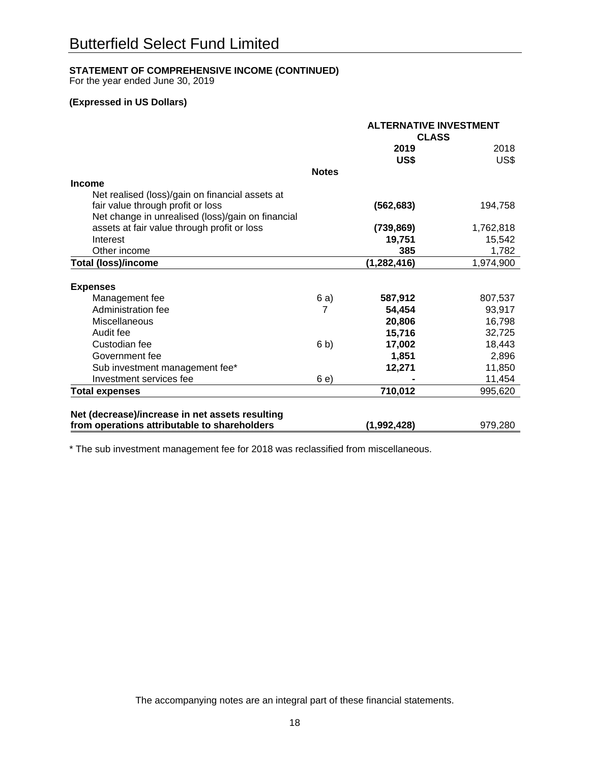# **STATEMENT OF COMPREHENSIVE INCOME (CONTINUED)**

For the year ended June 30, 2019

# **(Expressed in US Dollars)**

|                                                   | <b>ALTERNATIVE INVESTMENT</b> |               |           |
|---------------------------------------------------|-------------------------------|---------------|-----------|
|                                                   | <b>CLASS</b>                  |               |           |
|                                                   |                               | 2019          | 2018      |
|                                                   |                               | US\$          | US\$      |
|                                                   | <b>Notes</b>                  |               |           |
| <b>Income</b>                                     |                               |               |           |
| Net realised (loss)/gain on financial assets at   |                               |               |           |
| fair value through profit or loss                 |                               | (562, 683)    | 194,758   |
| Net change in unrealised (loss)/gain on financial |                               |               |           |
| assets at fair value through profit or loss       |                               | (739, 869)    | 1,762,818 |
| Interest                                          |                               | 19,751        | 15,542    |
| Other income                                      |                               | 385           | 1,782     |
| <b>Total (loss)/income</b>                        |                               | (1, 282, 416) | 1,974,900 |
|                                                   |                               |               |           |
| <b>Expenses</b>                                   |                               |               |           |
| Management fee                                    | 6 a)                          | 587,912       | 807,537   |
| Administration fee                                | 7                             | 54,454        | 93,917    |
| Miscellaneous                                     |                               | 20,806        | 16,798    |
| Audit fee                                         |                               | 15,716        | 32,725    |
| Custodian fee                                     | 6 b)                          | 17,002        | 18,443    |
| Government fee                                    |                               | 1,851         | 2,896     |
| Sub investment management fee*                    |                               | 12,271        | 11,850    |
| Investment services fee                           | 6 e)                          |               | 11,454    |
| <b>Total expenses</b>                             |                               | 710,012       | 995,620   |
|                                                   |                               |               |           |
| Net (decrease)/increase in net assets resulting   |                               |               |           |
| from operations attributable to shareholders      |                               | (1,992,428)   | 979,280   |

\* The sub investment management fee for 2018 was reclassified from miscellaneous.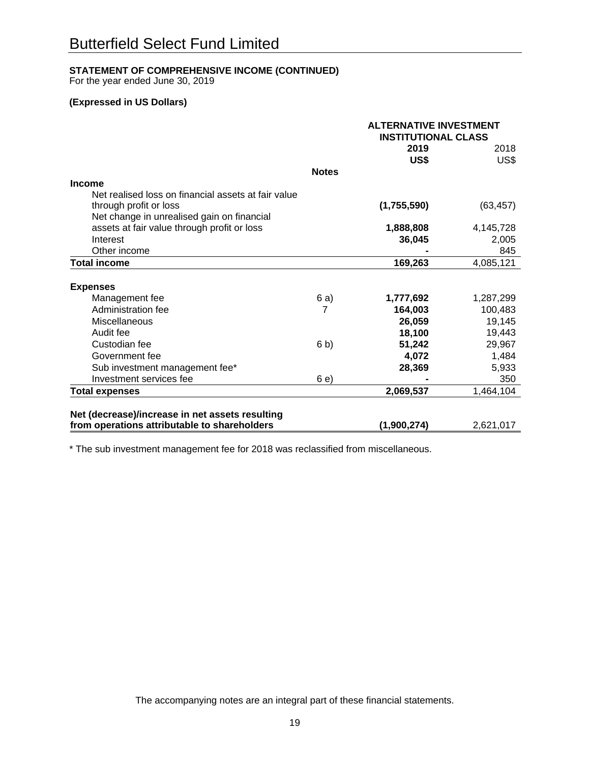# **STATEMENT OF COMPREHENSIVE INCOME (CONTINUED)**

For the year ended June 30, 2019

# **(Expressed in US Dollars)**

|                                                     |                | <b>ALTERNATIVE INVESTMENT</b><br><b>INSTITUTIONAL CLASS</b> |           |
|-----------------------------------------------------|----------------|-------------------------------------------------------------|-----------|
|                                                     |                |                                                             |           |
|                                                     |                | 2019                                                        | 2018      |
|                                                     |                | US\$                                                        | US\$      |
|                                                     | <b>Notes</b>   |                                                             |           |
| <b>Income</b>                                       |                |                                                             |           |
| Net realised loss on financial assets at fair value |                |                                                             |           |
| through profit or loss                              |                | (1,755,590)                                                 | (63, 457) |
| Net change in unrealised gain on financial          |                |                                                             |           |
| assets at fair value through profit or loss         |                | 1,888,808                                                   | 4,145,728 |
| Interest                                            |                | 36,045                                                      | 2,005     |
| Other income                                        |                |                                                             | 845       |
| <b>Total income</b>                                 |                | 169,263                                                     | 4,085,121 |
|                                                     |                |                                                             |           |
| <b>Expenses</b>                                     |                |                                                             |           |
| Management fee                                      | 6 a)           | 1,777,692                                                   | 1,287,299 |
| Administration fee                                  | 7              | 164,003                                                     | 100,483   |
| Miscellaneous                                       |                | 26,059                                                      | 19,145    |
| Audit fee                                           |                | 18,100                                                      | 19,443    |
| Custodian fee                                       | 6 <sub>b</sub> | 51,242                                                      | 29,967    |
| Government fee                                      |                | 4,072                                                       | 1,484     |
| Sub investment management fee*                      |                | 28,369                                                      | 5,933     |
| Investment services fee                             | 6 e)           |                                                             | 350       |
| <b>Total expenses</b>                               |                | 2,069,537                                                   | 1,464,104 |
|                                                     |                |                                                             |           |
| Net (decrease)/increase in net assets resulting     |                |                                                             |           |
| from operations attributable to shareholders        |                | (1,900,274)                                                 | 2,621,017 |

\* The sub investment management fee for 2018 was reclassified from miscellaneous.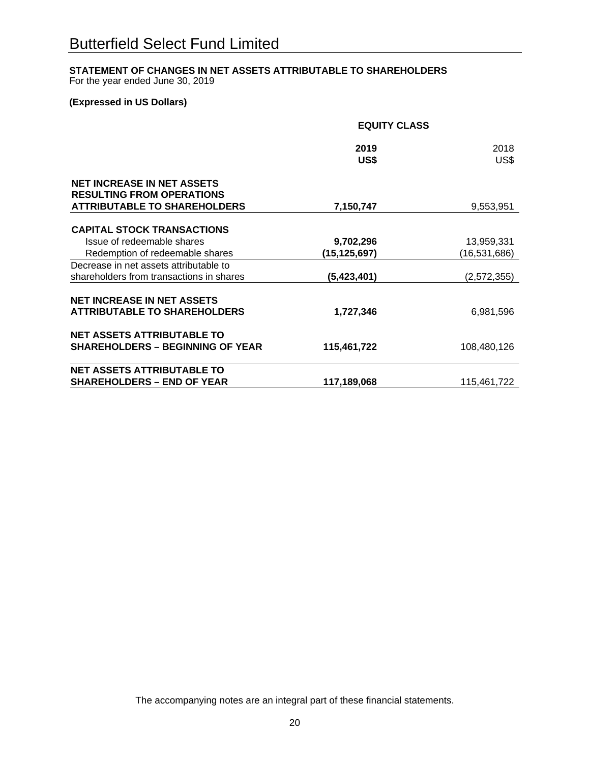# **STATEMENT OF CHANGES IN NET ASSETS ATTRIBUTABLE TO SHAREHOLDERS**

For the year ended June 30, 2019

# **(Expressed in US Dollars)**

|                                                                                                              | <b>EQUITY CLASS</b> |                |  |
|--------------------------------------------------------------------------------------------------------------|---------------------|----------------|--|
|                                                                                                              | 2019<br>US\$        | 2018<br>US\$   |  |
| <b>NET INCREASE IN NET ASSETS</b><br><b>RESULTING FROM OPERATIONS</b><br><b>ATTRIBUTABLE TO SHAREHOLDERS</b> | 7,150,747           | 9,553,951      |  |
|                                                                                                              |                     |                |  |
| <b>CAPITAL STOCK TRANSACTIONS</b>                                                                            |                     |                |  |
| Issue of redeemable shares                                                                                   | 9,702,296           | 13,959,331     |  |
| Redemption of redeemable shares                                                                              | (15,125,697)        | (16, 531, 686) |  |
| Decrease in net assets attributable to                                                                       |                     |                |  |
| shareholders from transactions in shares                                                                     | (5,423,401)         | (2,572,355)    |  |
| <b>NET INCREASE IN NET ASSETS</b>                                                                            |                     |                |  |
| <b>ATTRIBUTABLE TO SHAREHOLDERS</b>                                                                          | 1,727,346           | 6,981,596      |  |
| <b>NET ASSETS ATTRIBUTABLE TO</b>                                                                            |                     |                |  |
| <b>SHAREHOLDERS - BEGINNING OF YEAR</b>                                                                      | 115,461,722         | 108,480,126    |  |
| <b>NET ASSETS ATTRIBUTABLE TO</b>                                                                            |                     |                |  |
| <b>SHAREHOLDERS - END OF YEAR</b>                                                                            | 117,189,068         | 115,461,722    |  |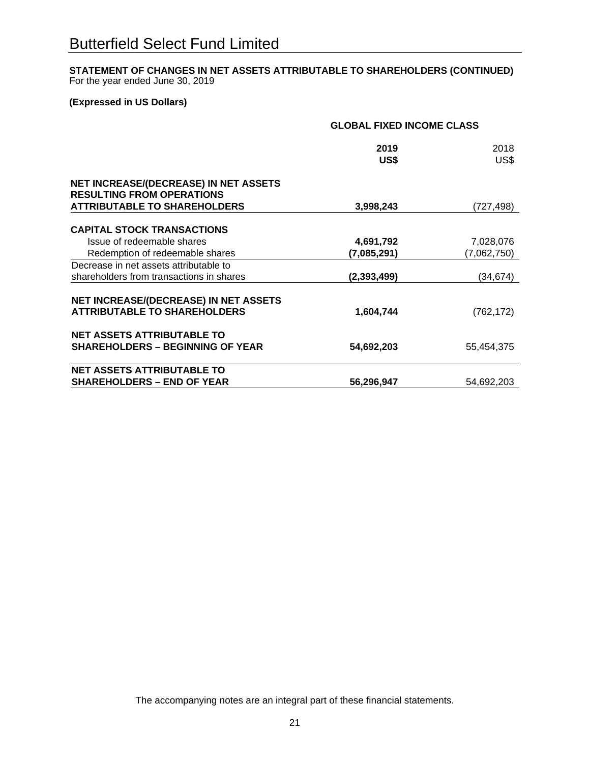# **STATEMENT OF CHANGES IN NET ASSETS ATTRIBUTABLE TO SHAREHOLDERS (CONTINUED)** For the year ended June 30, 2019

# **(Expressed in US Dollars)**

|                                                                                  | <b>GLOBAL FIXED INCOME CLASS</b> |             |  |
|----------------------------------------------------------------------------------|----------------------------------|-------------|--|
|                                                                                  | 2019                             | 2018        |  |
|                                                                                  | US\$                             | US\$        |  |
| <b>NET INCREASE/(DECREASE) IN NET ASSETS</b><br><b>RESULTING FROM OPERATIONS</b> |                                  |             |  |
| <b>ATTRIBUTABLE TO SHAREHOLDERS</b>                                              | 3,998,243                        | (727,498)   |  |
| <b>CAPITAL STOCK TRANSACTIONS</b>                                                |                                  |             |  |
| Issue of redeemable shares                                                       | 4,691,792                        | 7,028,076   |  |
| Redemption of redeemable shares                                                  | (7,085,291)                      | (7,062,750) |  |
| Decrease in net assets attributable to                                           |                                  |             |  |
| shareholders from transactions in shares                                         | (2, 393, 499)                    | (34,674)    |  |
|                                                                                  |                                  |             |  |
| <b>NET INCREASE/(DECREASE) IN NET ASSETS</b>                                     |                                  |             |  |
| <b>ATTRIBUTABLE TO SHAREHOLDERS</b>                                              | 1,604,744                        | (762, 172)  |  |
| <b>NET ASSETS ATTRIBUTABLE TO</b>                                                |                                  |             |  |
| <b>SHAREHOLDERS - BEGINNING OF YEAR</b>                                          | 54,692,203                       | 55,454,375  |  |
| <b>NET ASSETS ATTRIBUTABLE TO</b>                                                |                                  |             |  |
| <b>SHAREHOLDERS - END OF YEAR</b>                                                | 56,296,947                       | 54,692,203  |  |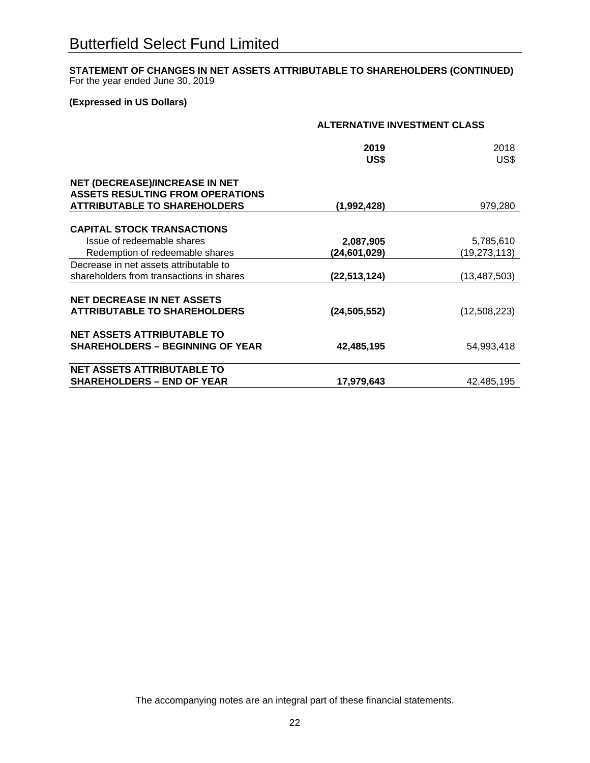# **STATEMENT OF CHANGES IN NET ASSETS ATTRIBUTABLE TO SHAREHOLDERS (CONTINUED)** For the year ended June 30, 2019

# **(Expressed in US Dollars)**

|                                          | <b>ALTERNATIVE INVESTMENT CLASS</b> |                |  |
|------------------------------------------|-------------------------------------|----------------|--|
|                                          | 2019                                | 2018           |  |
|                                          | US\$                                | US\$           |  |
| NET (DECREASE)/INCREASE IN NET           |                                     |                |  |
| <b>ASSETS RESULTING FROM OPERATIONS</b>  |                                     |                |  |
| <b>ATTRIBUTABLE TO SHAREHOLDERS</b>      | (1,992,428)                         | 979,280        |  |
| <b>CAPITAL STOCK TRANSACTIONS</b>        |                                     |                |  |
| Issue of redeemable shares               | 2,087,905                           | 5,785,610      |  |
| Redemption of redeemable shares          | (24,601,029)                        | (19, 273, 113) |  |
| Decrease in net assets attributable to   |                                     |                |  |
| shareholders from transactions in shares | (22,513,124)                        | (13, 487, 503) |  |
|                                          |                                     |                |  |
| <b>NET DECREASE IN NET ASSETS</b>        |                                     |                |  |
| <b>ATTRIBUTABLE TO SHAREHOLDERS</b>      | (24, 505, 552)                      | (12,508,223)   |  |
| <b>NET ASSETS ATTRIBUTABLE TO</b>        |                                     |                |  |
| <b>SHAREHOLDERS – BEGINNING OF YEAR</b>  | 42,485,195                          | 54,993,418     |  |
| <b>NET ASSETS ATTRIBUTABLE TO</b>        |                                     |                |  |
| <b>SHAREHOLDERS - END OF YEAR</b>        | 17,979,643                          | 42,485,195     |  |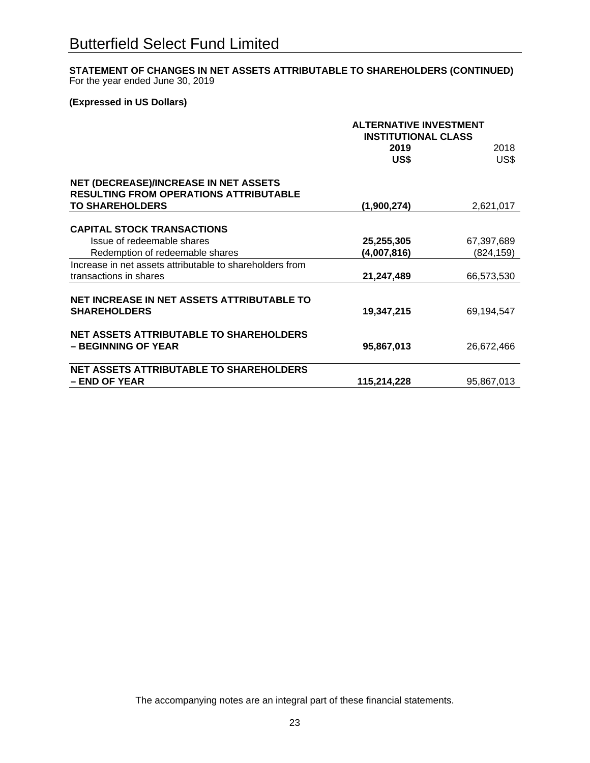# **STATEMENT OF CHANGES IN NET ASSETS ATTRIBUTABLE TO SHAREHOLDERS (CONTINUED)** For the year ended June 30, 2019

# **(Expressed in US Dollars)**

|                                                                                               | <b>ALTERNATIVE INVESTMENT</b><br><b>INSTITUTIONAL CLASS</b> |            |  |
|-----------------------------------------------------------------------------------------------|-------------------------------------------------------------|------------|--|
|                                                                                               | 2019                                                        | 2018       |  |
|                                                                                               | US\$                                                        | US\$       |  |
| <b>NET (DECREASE)/INCREASE IN NET ASSETS</b><br><b>RESULTING FROM OPERATIONS ATTRIBUTABLE</b> |                                                             |            |  |
| <b>TO SHAREHOLDERS</b>                                                                        | (1,900,274)                                                 | 2,621,017  |  |
| <b>CAPITAL STOCK TRANSACTIONS</b>                                                             |                                                             |            |  |
|                                                                                               |                                                             |            |  |
| Issue of redeemable shares                                                                    | 25,255,305                                                  | 67,397,689 |  |
| Redemption of redeemable shares                                                               | (4,007,816)                                                 | (824, 159) |  |
| Increase in net assets attributable to shareholders from                                      |                                                             |            |  |
| transactions in shares                                                                        | 21,247,489                                                  | 66,573,530 |  |
| NET INCREASE IN NET ASSETS ATTRIBUTABLE TO                                                    |                                                             |            |  |
| <b>SHAREHOLDERS</b>                                                                           | 19,347,215                                                  | 69,194,547 |  |
| <b>NET ASSETS ATTRIBUTABLE TO SHAREHOLDERS</b><br>- BEGINNING OF YEAR                         | 95,867,013                                                  | 26,672,466 |  |
|                                                                                               |                                                             |            |  |
| <b>NET ASSETS ATTRIBUTABLE TO SHAREHOLDERS</b>                                                |                                                             |            |  |
| - END OF YEAR                                                                                 | 115,214,228                                                 | 95,867,013 |  |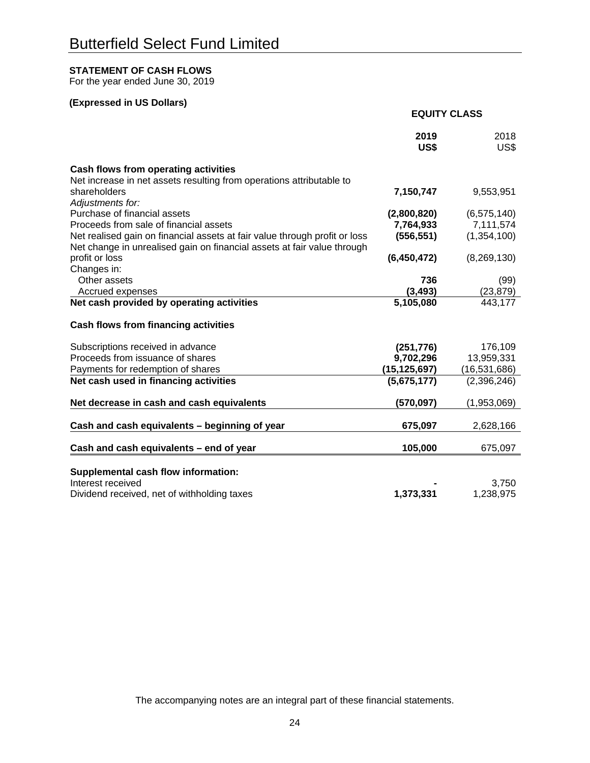# **STATEMENT OF CASH FLOWS**

For the year ended June 30, 2019

# **(Expressed in US Dollars)**

|                                                                            | <b>EQUITY CLASS</b> |               |
|----------------------------------------------------------------------------|---------------------|---------------|
|                                                                            | 2019<br>US\$        | 2018<br>US\$  |
| <b>Cash flows from operating activities</b>                                |                     |               |
| Net increase in net assets resulting from operations attributable to       |                     |               |
| shareholders                                                               | 7,150,747           | 9,553,951     |
| Adjustments for:<br>Purchase of financial assets                           | (2,800,820)         | (6, 575, 140) |
| Proceeds from sale of financial assets                                     | 7,764,933           | 7,111,574     |
| Net realised gain on financial assets at fair value through profit or loss | (556, 551)          | (1,354,100)   |
| Net change in unrealised gain on financial assets at fair value through    |                     |               |
| profit or loss                                                             | (6,450,472)         | (8,269,130)   |
| Changes in:                                                                |                     |               |
| Other assets                                                               | 736                 | (99)          |
| Accrued expenses                                                           | (3, 493)            | (23, 879)     |
| Net cash provided by operating activities                                  | 5,105,080           | 443,177       |
| <b>Cash flows from financing activities</b>                                |                     |               |
| Subscriptions received in advance                                          | (251, 776)          | 176,109       |
| Proceeds from issuance of shares                                           | 9,702,296           | 13,959,331    |
| Payments for redemption of shares                                          | (15, 125, 697)      | (16,531,686)  |
| Net cash used in financing activities                                      | (5,675,177)         | (2,396,246)   |
| Net decrease in cash and cash equivalents                                  | (570, 097)          | (1,953,069)   |
|                                                                            |                     |               |
| Cash and cash equivalents - beginning of year                              | 675,097             | 2,628,166     |
| Cash and cash equivalents - end of year                                    | 105,000             | 675,097       |
|                                                                            |                     |               |
| Supplemental cash flow information:<br>Interest received                   |                     | 3,750         |
| Dividend received, net of withholding taxes                                | 1,373,331           | 1,238,975     |
|                                                                            |                     |               |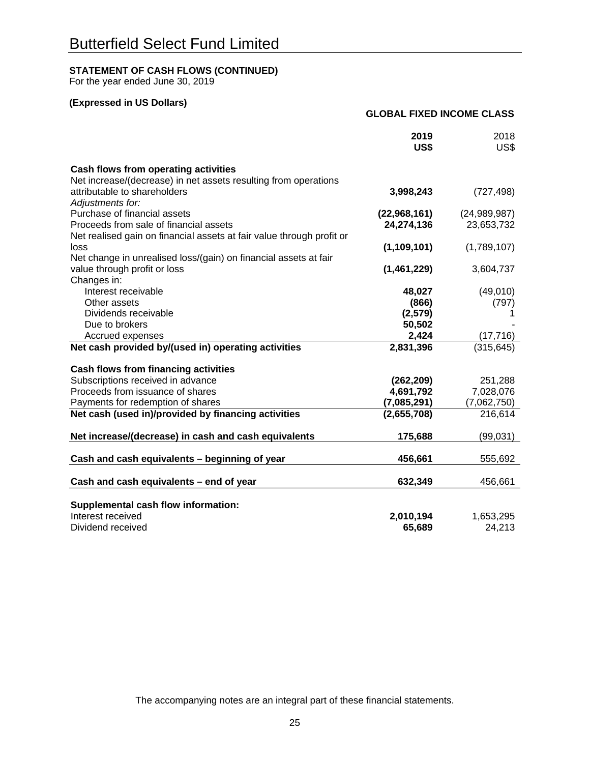# **STATEMENT OF CASH FLOWS (CONTINUED)**

For the year ended June 30, 2019

# **(Expressed in US Dollars)**

#### **GLOBAL FIXED INCOME CLASS**

|                                                                       | 2019<br>US\$  | 2018<br>US\$ |
|-----------------------------------------------------------------------|---------------|--------------|
| Cash flows from operating activities                                  |               |              |
| Net increase/(decrease) in net assets resulting from operations       |               |              |
| attributable to shareholders                                          | 3,998,243     | (727, 498)   |
| Adjustments for:                                                      |               |              |
| Purchase of financial assets                                          | (22,968,161)  | (24,989,987) |
| Proceeds from sale of financial assets                                | 24,274,136    | 23,653,732   |
| Net realised gain on financial assets at fair value through profit or |               |              |
| loss                                                                  | (1, 109, 101) | (1,789,107)  |
| Net change in unrealised loss/(gain) on financial assets at fair      |               |              |
| value through profit or loss                                          | (1,461,229)   | 3,604,737    |
| Changes in:                                                           |               |              |
| Interest receivable                                                   | 48,027        | (49,010)     |
| Other assets                                                          | (866)         | (797)        |
| Dividends receivable                                                  | (2,579)       |              |
| Due to brokers                                                        | 50,502        |              |
| Accrued expenses                                                      | 2,424         | (17, 716)    |
| Net cash provided by/(used in) operating activities                   | 2,831,396     | (315, 645)   |
| <b>Cash flows from financing activities</b>                           |               |              |
| Subscriptions received in advance                                     | (262, 209)    | 251,288      |
| Proceeds from issuance of shares                                      | 4,691,792     | 7,028,076    |
| Payments for redemption of shares                                     | (7,085,291)   | (7,062,750)  |
| Net cash (used in)/provided by financing activities                   | (2,655,708)   | 216,614      |
|                                                                       |               |              |
| Net increase/(decrease) in cash and cash equivalents                  | 175,688       | (99, 031)    |
|                                                                       |               |              |
| Cash and cash equivalents - beginning of year                         | 456,661       | 555,692      |
| Cash and cash equivalents - end of year                               | 632,349       | 456,661      |
|                                                                       |               |              |
| Supplemental cash flow information:                                   |               |              |
| Interest received                                                     | 2,010,194     | 1,653,295    |
| Dividend received                                                     | 65,689        | 24,213       |
|                                                                       |               |              |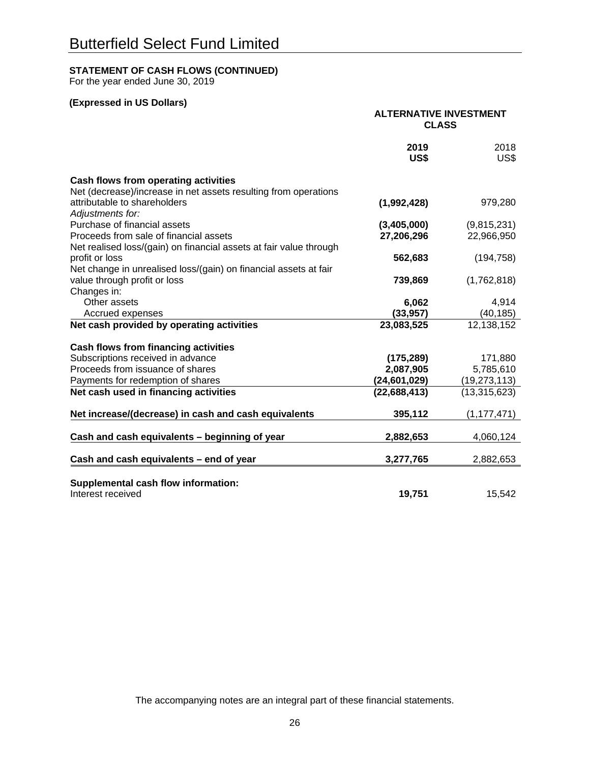# **STATEMENT OF CASH FLOWS (CONTINUED)**

For the year ended June 30, 2019

# **(Expressed in US Dollars)**

|                                                                                                         | <b>ALTERNATIVE INVESTMENT</b><br><b>CLASS</b> |                |
|---------------------------------------------------------------------------------------------------------|-----------------------------------------------|----------------|
|                                                                                                         | 2019<br>US\$                                  | 2018<br>US\$   |
| Cash flows from operating activities<br>Net (decrease)/increase in net assets resulting from operations |                                               |                |
| attributable to shareholders<br>Adjustments for:                                                        | (1,992,428)                                   | 979,280        |
| Purchase of financial assets                                                                            | (3,405,000)                                   | (9,815,231)    |
| Proceeds from sale of financial assets                                                                  | 27,206,296                                    | 22,966,950     |
| Net realised loss/(gain) on financial assets at fair value through                                      |                                               |                |
| profit or loss                                                                                          | 562,683                                       | (194, 758)     |
| Net change in unrealised loss/(gain) on financial assets at fair                                        |                                               |                |
| value through profit or loss                                                                            | 739,869                                       | (1,762,818)    |
| Changes in:                                                                                             |                                               |                |
| Other assets                                                                                            | 6,062                                         | 4,914          |
| Accrued expenses                                                                                        | (33, 957)                                     | (40, 185)      |
| Net cash provided by operating activities                                                               | 23,083,525                                    | 12,138,152     |
| <b>Cash flows from financing activities</b>                                                             |                                               |                |
| Subscriptions received in advance                                                                       | (175, 289)                                    | 171,880        |
| Proceeds from issuance of shares                                                                        | 2,087,905                                     | 5,785,610      |
| Payments for redemption of shares                                                                       | (24,601,029)                                  | (19, 273, 113) |
| Net cash used in financing activities                                                                   | (22, 688, 413)                                | (13, 315, 623) |
| Net increase/(decrease) in cash and cash equivalents                                                    | 395,112                                       | (1, 177, 471)  |
| Cash and cash equivalents - beginning of year                                                           | 2,882,653                                     | 4,060,124      |
| Cash and cash equivalents - end of year                                                                 | 3,277,765                                     | 2,882,653      |
| Supplemental cash flow information:                                                                     |                                               |                |
| Interest received                                                                                       | 19,751                                        | 15,542         |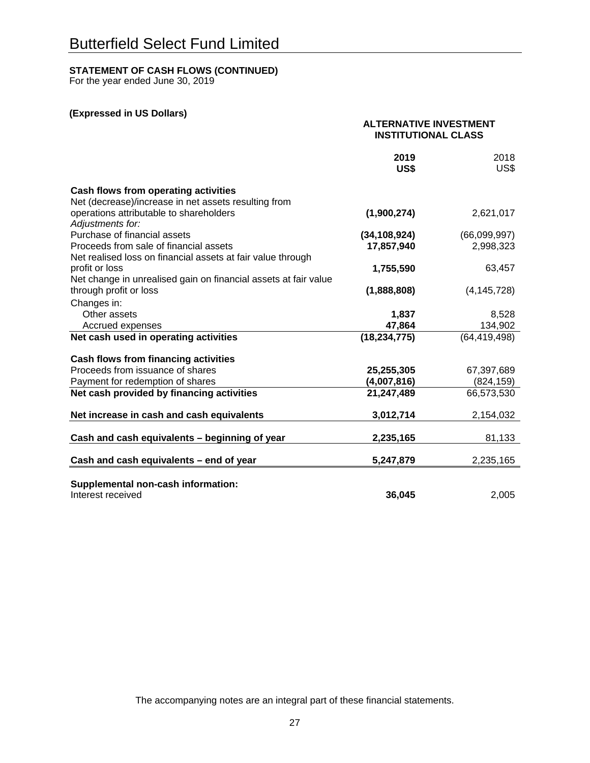# **STATEMENT OF CASH FLOWS (CONTINUED)**

For the year ended June 30, 2019

# **(Expressed in US Dollars)**

|                                                                 | <b>ALTERNATIVE INVESTMENT</b><br><b>INSTITUTIONAL CLASS</b> |                |
|-----------------------------------------------------------------|-------------------------------------------------------------|----------------|
|                                                                 | 2019<br>US\$                                                | 2018<br>US\$   |
| <b>Cash flows from operating activities</b>                     |                                                             |                |
| Net (decrease)/increase in net assets resulting from            |                                                             |                |
| operations attributable to shareholders<br>Adjustments for:     | (1,900,274)                                                 | 2,621,017      |
| Purchase of financial assets                                    | (34, 108, 924)                                              | (66,099,997)   |
| Proceeds from sale of financial assets                          | 17,857,940                                                  | 2,998,323      |
| Net realised loss on financial assets at fair value through     |                                                             |                |
| profit or loss                                                  | 1,755,590                                                   | 63,457         |
| Net change in unrealised gain on financial assets at fair value |                                                             |                |
| through profit or loss                                          | (1,888,808)                                                 | (4, 145, 728)  |
| Changes in:                                                     |                                                             |                |
| Other assets                                                    | 1,837                                                       | 8,528          |
| Accrued expenses                                                | 47,864                                                      | 134,902        |
| Net cash used in operating activities                           | (18, 234, 775)                                              | (64, 419, 498) |
| Cash flows from financing activities                            |                                                             |                |
| Proceeds from issuance of shares                                | 25,255,305                                                  | 67,397,689     |
| Payment for redemption of shares                                | (4,007,816)                                                 | (824, 159)     |
| Net cash provided by financing activities                       | 21,247,489                                                  | 66,573,530     |
| Net increase in cash and cash equivalents                       | 3,012,714                                                   | 2,154,032      |
|                                                                 |                                                             |                |
| Cash and cash equivalents - beginning of year                   | 2,235,165                                                   | 81,133         |
| Cash and cash equivalents - end of year                         | 5,247,879                                                   | 2,235,165      |
|                                                                 |                                                             |                |
| Supplemental non-cash information:                              |                                                             |                |
| Interest received                                               | 36,045                                                      | 2,005          |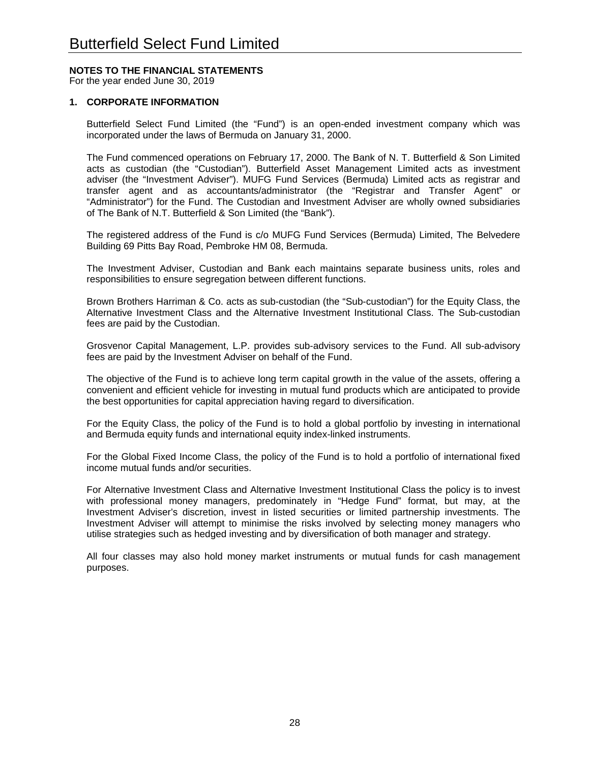# **NOTES TO THE FINANCIAL STATEMENTS**

For the year ended June 30, 2019

#### **1. CORPORATE INFORMATION**

Butterfield Select Fund Limited (the "Fund") is an open-ended investment company which was incorporated under the laws of Bermuda on January 31, 2000.

The Fund commenced operations on February 17, 2000. The Bank of N. T. Butterfield & Son Limited acts as custodian (the "Custodian"). Butterfield Asset Management Limited acts as investment adviser (the "Investment Adviser"). MUFG Fund Services (Bermuda) Limited acts as registrar and transfer agent and as accountants/administrator (the "Registrar and Transfer Agent" or "Administrator") for the Fund. The Custodian and Investment Adviser are wholly owned subsidiaries of The Bank of N.T. Butterfield & Son Limited (the "Bank").

The registered address of the Fund is c/o MUFG Fund Services (Bermuda) Limited, The Belvedere Building 69 Pitts Bay Road, Pembroke HM 08, Bermuda.

The Investment Adviser, Custodian and Bank each maintains separate business units, roles and responsibilities to ensure segregation between different functions.

Brown Brothers Harriman & Co. acts as sub-custodian (the "Sub-custodian") for the Equity Class, the Alternative Investment Class and the Alternative Investment Institutional Class. The Sub-custodian fees are paid by the Custodian.

Grosvenor Capital Management, L.P. provides sub-advisory services to the Fund. All sub-advisory fees are paid by the Investment Adviser on behalf of the Fund.

The objective of the Fund is to achieve long term capital growth in the value of the assets, offering a convenient and efficient vehicle for investing in mutual fund products which are anticipated to provide the best opportunities for capital appreciation having regard to diversification.

For the Equity Class, the policy of the Fund is to hold a global portfolio by investing in international and Bermuda equity funds and international equity index-linked instruments.

For the Global Fixed Income Class, the policy of the Fund is to hold a portfolio of international fixed income mutual funds and/or securities.

For Alternative Investment Class and Alternative Investment Institutional Class the policy is to invest with professional money managers, predominately in "Hedge Fund" format, but may, at the Investment Adviser's discretion, invest in listed securities or limited partnership investments. The Investment Adviser will attempt to minimise the risks involved by selecting money managers who utilise strategies such as hedged investing and by diversification of both manager and strategy.

All four classes may also hold money market instruments or mutual funds for cash management purposes.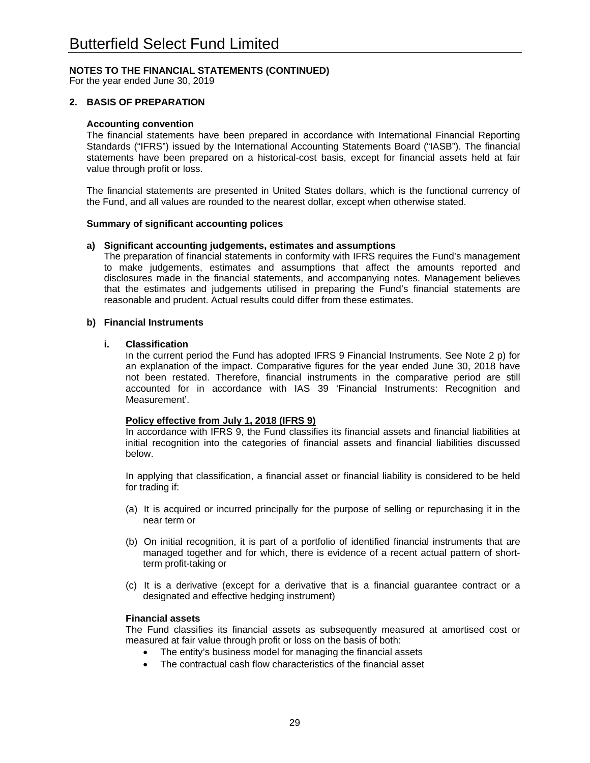For the year ended June 30, 2019

### **2. BASIS OF PREPARATION**

#### **Accounting convention**

The financial statements have been prepared in accordance with International Financial Reporting Standards ("IFRS") issued by the International Accounting Statements Board ("IASB"). The financial statements have been prepared on a historical-cost basis, except for financial assets held at fair value through profit or loss.

The financial statements are presented in United States dollars, which is the functional currency of the Fund, and all values are rounded to the nearest dollar, except when otherwise stated.

#### **Summary of significant accounting polices**

#### **a) Significant accounting judgements, estimates and assumptions**

The preparation of financial statements in conformity with IFRS requires the Fund's management to make judgements, estimates and assumptions that affect the amounts reported and disclosures made in the financial statements, and accompanying notes. Management believes that the estimates and judgements utilised in preparing the Fund's financial statements are reasonable and prudent. Actual results could differ from these estimates.

#### **b) Financial Instruments**

#### **i. Classification**

In the current period the Fund has adopted IFRS 9 Financial Instruments. See Note 2 p) for an explanation of the impact. Comparative figures for the year ended June 30, 2018 have not been restated. Therefore, financial instruments in the comparative period are still accounted for in accordance with IAS 39 'Financial Instruments: Recognition and Measurement'.

#### **Policy effective from July 1, 2018 (IFRS 9)**

In accordance with IFRS 9, the Fund classifies its financial assets and financial liabilities at initial recognition into the categories of financial assets and financial liabilities discussed below.

In applying that classification, a financial asset or financial liability is considered to be held for trading if:

- (a) It is acquired or incurred principally for the purpose of selling or repurchasing it in the near term or
- (b) On initial recognition, it is part of a portfolio of identified financial instruments that are managed together and for which, there is evidence of a recent actual pattern of shortterm profit-taking or
- (c) It is a derivative (except for a derivative that is a financial guarantee contract or a designated and effective hedging instrument)

#### **Financial assets**

The Fund classifies its financial assets as subsequently measured at amortised cost or measured at fair value through profit or loss on the basis of both:

- The entity's business model for managing the financial assets
- The contractual cash flow characteristics of the financial asset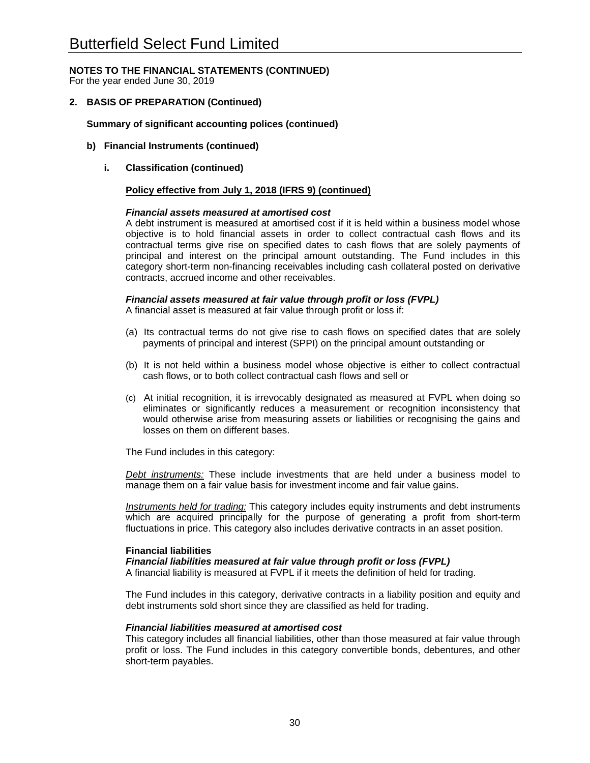For the year ended June 30, 2019

### **2. BASIS OF PREPARATION (Continued)**

#### **Summary of significant accounting polices (continued)**

- **b) Financial Instruments (continued)** 
	- **i. Classification (continued)**

#### **Policy effective from July 1, 2018 (IFRS 9) (continued)**

#### *Financial assets measured at amortised cost*

A debt instrument is measured at amortised cost if it is held within a business model whose objective is to hold financial assets in order to collect contractual cash flows and its contractual terms give rise on specified dates to cash flows that are solely payments of principal and interest on the principal amount outstanding. The Fund includes in this category short-term non-financing receivables including cash collateral posted on derivative contracts, accrued income and other receivables.

#### *Financial assets measured at fair value through profit or loss (FVPL)*

A financial asset is measured at fair value through profit or loss if:

- (a) Its contractual terms do not give rise to cash flows on specified dates that are solely payments of principal and interest (SPPI) on the principal amount outstanding or
- (b) It is not held within a business model whose objective is either to collect contractual cash flows, or to both collect contractual cash flows and sell or
- (c) At initial recognition, it is irrevocably designated as measured at FVPL when doing so eliminates or significantly reduces a measurement or recognition inconsistency that would otherwise arise from measuring assets or liabilities or recognising the gains and losses on them on different bases.

The Fund includes in this category:

*Debt instruments:* These include investments that are held under a business model to manage them on a fair value basis for investment income and fair value gains.

*Instruments held for trading:* This category includes equity instruments and debt instruments which are acquired principally for the purpose of generating a profit from short-term fluctuations in price. This category also includes derivative contracts in an asset position.

#### **Financial liabilities**

*Financial liabilities measured at fair value through profit or loss (FVPL)* 

A financial liability is measured at FVPL if it meets the definition of held for trading.

The Fund includes in this category, derivative contracts in a liability position and equity and debt instruments sold short since they are classified as held for trading.

#### *Financial liabilities measured at amortised cost*

This category includes all financial liabilities, other than those measured at fair value through profit or loss. The Fund includes in this category convertible bonds, debentures, and other short-term payables.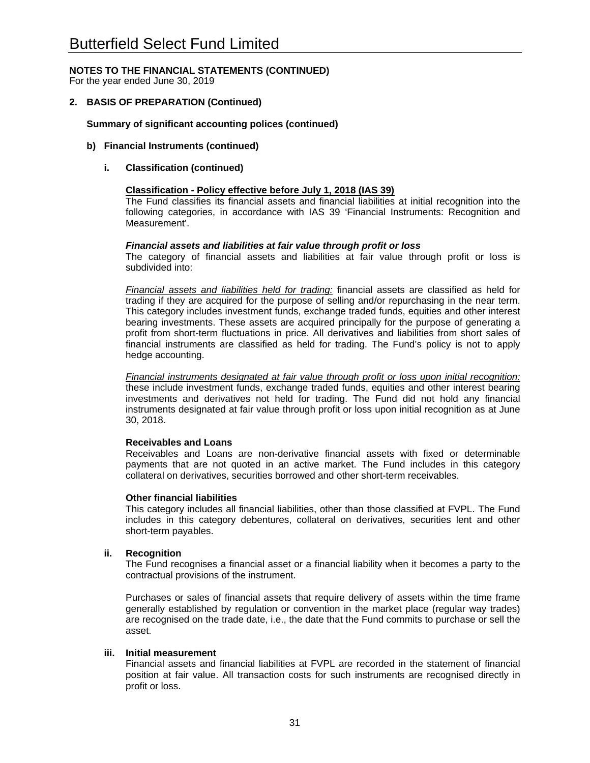For the year ended June 30, 2019

### **2. BASIS OF PREPARATION (Continued)**

#### **Summary of significant accounting polices (continued)**

#### **b) Financial Instruments (continued)**

#### **i. Classification (continued)**

#### **Classification - Policy effective before July 1, 2018 (IAS 39)**

The Fund classifies its financial assets and financial liabilities at initial recognition into the following categories, in accordance with IAS 39 'Financial Instruments: Recognition and Measurement'.

#### *Financial assets and liabilities at fair value through profit or loss*

The category of financial assets and liabilities at fair value through profit or loss is subdivided into:

*Financial assets and liabilities held for trading:* financial assets are classified as held for trading if they are acquired for the purpose of selling and/or repurchasing in the near term. This category includes investment funds, exchange traded funds, equities and other interest bearing investments. These assets are acquired principally for the purpose of generating a profit from short-term fluctuations in price. All derivatives and liabilities from short sales of financial instruments are classified as held for trading. The Fund's policy is not to apply hedge accounting.

*Financial instruments designated at fair value through profit or loss upon initial recognition:*  these include investment funds, exchange traded funds, equities and other interest bearing investments and derivatives not held for trading. The Fund did not hold any financial instruments designated at fair value through profit or loss upon initial recognition as at June 30, 2018.

#### **Receivables and Loans**

Receivables and Loans are non-derivative financial assets with fixed or determinable payments that are not quoted in an active market. The Fund includes in this category collateral on derivatives, securities borrowed and other short-term receivables.

#### **Other financial liabilities**

This category includes all financial liabilities, other than those classified at FVPL. The Fund includes in this category debentures, collateral on derivatives, securities lent and other short-term payables.

#### **ii. Recognition**

The Fund recognises a financial asset or a financial liability when it becomes a party to the contractual provisions of the instrument.

Purchases or sales of financial assets that require delivery of assets within the time frame generally established by regulation or convention in the market place (regular way trades) are recognised on the trade date, i.e., the date that the Fund commits to purchase or sell the asset.

#### **iii. Initial measurement**

Financial assets and financial liabilities at FVPL are recorded in the statement of financial position at fair value. All transaction costs for such instruments are recognised directly in profit or loss.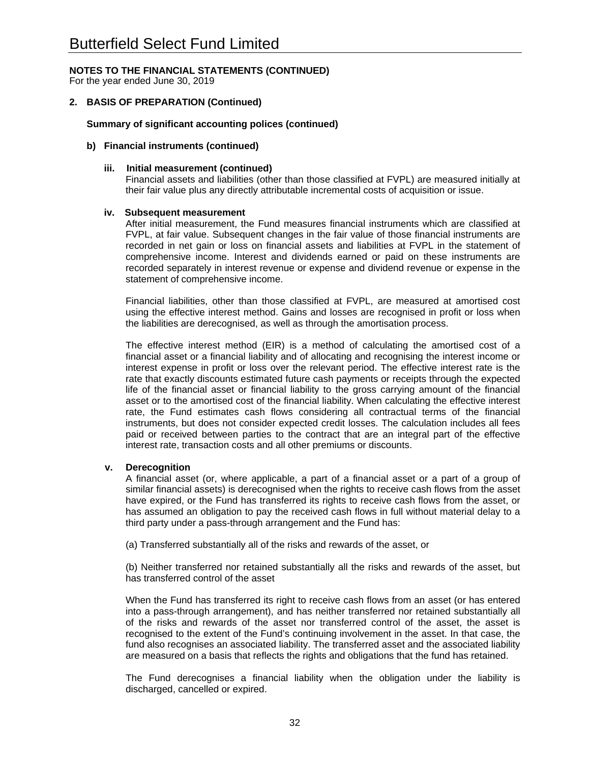For the year ended June 30, 2019

### **2. BASIS OF PREPARATION (Continued)**

#### **Summary of significant accounting polices (continued)**

#### **b) Financial instruments (continued)**

#### **iii. Initial measurement (continued)**

Financial assets and liabilities (other than those classified at FVPL) are measured initially at their fair value plus any directly attributable incremental costs of acquisition or issue.

#### **iv. Subsequent measurement**

After initial measurement, the Fund measures financial instruments which are classified at FVPL, at fair value. Subsequent changes in the fair value of those financial instruments are recorded in net gain or loss on financial assets and liabilities at FVPL in the statement of comprehensive income. Interest and dividends earned or paid on these instruments are recorded separately in interest revenue or expense and dividend revenue or expense in the statement of comprehensive income.

Financial liabilities, other than those classified at FVPL, are measured at amortised cost using the effective interest method. Gains and losses are recognised in profit or loss when the liabilities are derecognised, as well as through the amortisation process.

The effective interest method (EIR) is a method of calculating the amortised cost of a financial asset or a financial liability and of allocating and recognising the interest income or interest expense in profit or loss over the relevant period. The effective interest rate is the rate that exactly discounts estimated future cash payments or receipts through the expected life of the financial asset or financial liability to the gross carrying amount of the financial asset or to the amortised cost of the financial liability. When calculating the effective interest rate, the Fund estimates cash flows considering all contractual terms of the financial instruments, but does not consider expected credit losses. The calculation includes all fees paid or received between parties to the contract that are an integral part of the effective interest rate, transaction costs and all other premiums or discounts.

#### **v. Derecognition**

A financial asset (or, where applicable, a part of a financial asset or a part of a group of similar financial assets) is derecognised when the rights to receive cash flows from the asset have expired, or the Fund has transferred its rights to receive cash flows from the asset, or has assumed an obligation to pay the received cash flows in full without material delay to a third party under a pass-through arrangement and the Fund has:

(a) Transferred substantially all of the risks and rewards of the asset, or

(b) Neither transferred nor retained substantially all the risks and rewards of the asset, but has transferred control of the asset

When the Fund has transferred its right to receive cash flows from an asset (or has entered into a pass-through arrangement), and has neither transferred nor retained substantially all of the risks and rewards of the asset nor transferred control of the asset, the asset is recognised to the extent of the Fund's continuing involvement in the asset. In that case, the fund also recognises an associated liability. The transferred asset and the associated liability are measured on a basis that reflects the rights and obligations that the fund has retained.

The Fund derecognises a financial liability when the obligation under the liability is discharged, cancelled or expired.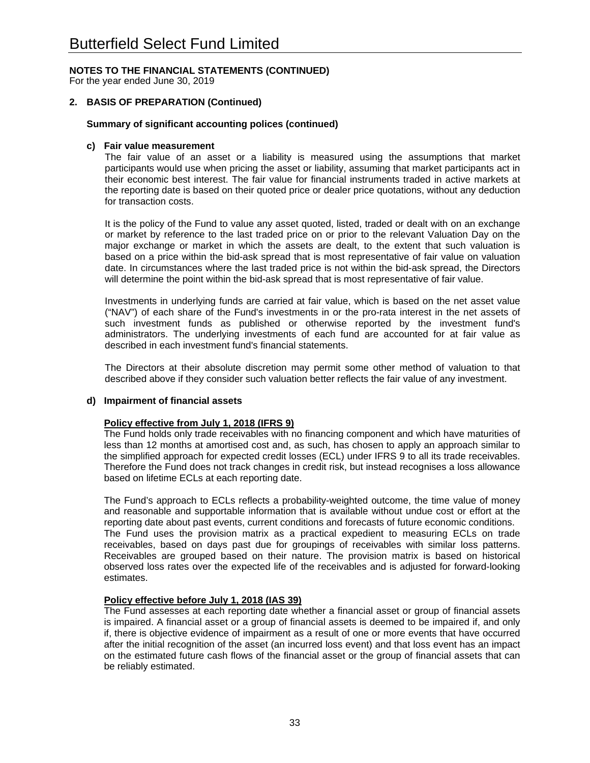For the year ended June 30, 2019

### **2. BASIS OF PREPARATION (Continued)**

#### **Summary of significant accounting polices (continued)**

#### **c) Fair value measurement**

The fair value of an asset or a liability is measured using the assumptions that market participants would use when pricing the asset or liability, assuming that market participants act in their economic best interest. The fair value for financial instruments traded in active markets at the reporting date is based on their quoted price or dealer price quotations, without any deduction for transaction costs.

It is the policy of the Fund to value any asset quoted, listed, traded or dealt with on an exchange or market by reference to the last traded price on or prior to the relevant Valuation Day on the major exchange or market in which the assets are dealt, to the extent that such valuation is based on a price within the bid-ask spread that is most representative of fair value on valuation date. In circumstances where the last traded price is not within the bid-ask spread, the Directors will determine the point within the bid-ask spread that is most representative of fair value.

Investments in underlying funds are carried at fair value, which is based on the net asset value ("NAV") of each share of the Fund's investments in or the pro-rata interest in the net assets of such investment funds as published or otherwise reported by the investment fund's administrators. The underlying investments of each fund are accounted for at fair value as described in each investment fund's financial statements.

The Directors at their absolute discretion may permit some other method of valuation to that described above if they consider such valuation better reflects the fair value of any investment.

# **d) Impairment of financial assets**

#### **Policy effective from July 1, 2018 (IFRS 9)**

The Fund holds only trade receivables with no financing component and which have maturities of less than 12 months at amortised cost and, as such, has chosen to apply an approach similar to the simplified approach for expected credit losses (ECL) under IFRS 9 to all its trade receivables. Therefore the Fund does not track changes in credit risk, but instead recognises a loss allowance based on lifetime ECLs at each reporting date.

The Fund's approach to ECLs reflects a probability-weighted outcome, the time value of money and reasonable and supportable information that is available without undue cost or effort at the reporting date about past events, current conditions and forecasts of future economic conditions. The Fund uses the provision matrix as a practical expedient to measuring ECLs on trade receivables, based on days past due for groupings of receivables with similar loss patterns. Receivables are grouped based on their nature. The provision matrix is based on historical observed loss rates over the expected life of the receivables and is adjusted for forward-looking estimates.

#### **Policy effective before July 1, 2018 (IAS 39)**

The Fund assesses at each reporting date whether a financial asset or group of financial assets is impaired. A financial asset or a group of financial assets is deemed to be impaired if, and only if, there is objective evidence of impairment as a result of one or more events that have occurred after the initial recognition of the asset (an incurred loss event) and that loss event has an impact on the estimated future cash flows of the financial asset or the group of financial assets that can be reliably estimated.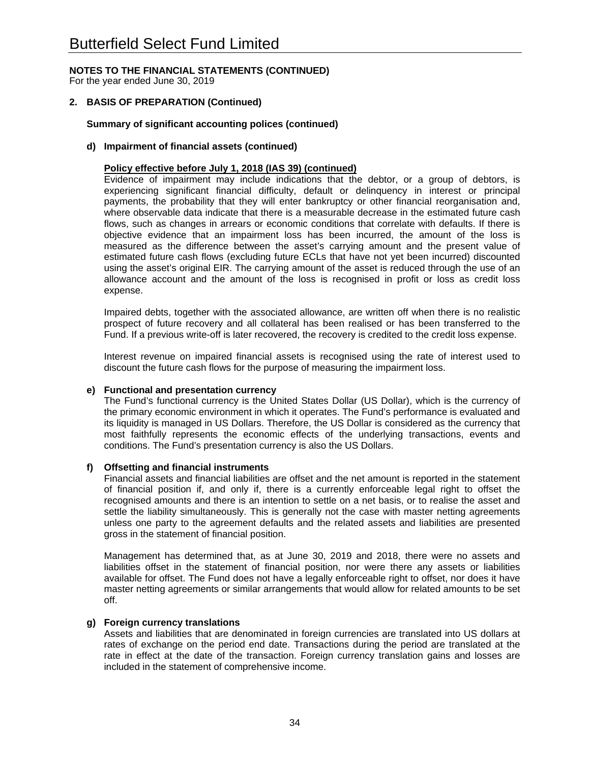For the year ended June 30, 2019

### **2. BASIS OF PREPARATION (Continued)**

#### **Summary of significant accounting polices (continued)**

#### **d) Impairment of financial assets (continued)**

#### **Policy effective before July 1, 2018 (IAS 39) (continued)**

Evidence of impairment may include indications that the debtor, or a group of debtors, is experiencing significant financial difficulty, default or delinquency in interest or principal payments, the probability that they will enter bankruptcy or other financial reorganisation and, where observable data indicate that there is a measurable decrease in the estimated future cash flows, such as changes in arrears or economic conditions that correlate with defaults. If there is objective evidence that an impairment loss has been incurred, the amount of the loss is measured as the difference between the asset's carrying amount and the present value of estimated future cash flows (excluding future ECLs that have not yet been incurred) discounted using the asset's original EIR. The carrying amount of the asset is reduced through the use of an allowance account and the amount of the loss is recognised in profit or loss as credit loss expense.

Impaired debts, together with the associated allowance, are written off when there is no realistic prospect of future recovery and all collateral has been realised or has been transferred to the Fund. If a previous write-off is later recovered, the recovery is credited to the credit loss expense.

Interest revenue on impaired financial assets is recognised using the rate of interest used to discount the future cash flows for the purpose of measuring the impairment loss.

#### **e) Functional and presentation currency**

The Fund's functional currency is the United States Dollar (US Dollar), which is the currency of the primary economic environment in which it operates. The Fund's performance is evaluated and its liquidity is managed in US Dollars. Therefore, the US Dollar is considered as the currency that most faithfully represents the economic effects of the underlying transactions, events and conditions. The Fund's presentation currency is also the US Dollars.

#### **f) Offsetting and financial instruments**

Financial assets and financial liabilities are offset and the net amount is reported in the statement of financial position if, and only if, there is a currently enforceable legal right to offset the recognised amounts and there is an intention to settle on a net basis, or to realise the asset and settle the liability simultaneously. This is generally not the case with master netting agreements unless one party to the agreement defaults and the related assets and liabilities are presented gross in the statement of financial position.

Management has determined that, as at June 30, 2019 and 2018, there were no assets and liabilities offset in the statement of financial position, nor were there any assets or liabilities available for offset. The Fund does not have a legally enforceable right to offset, nor does it have master netting agreements or similar arrangements that would allow for related amounts to be set off.

#### **g) Foreign currency translations**

Assets and liabilities that are denominated in foreign currencies are translated into US dollars at rates of exchange on the period end date. Transactions during the period are translated at the rate in effect at the date of the transaction. Foreign currency translation gains and losses are included in the statement of comprehensive income.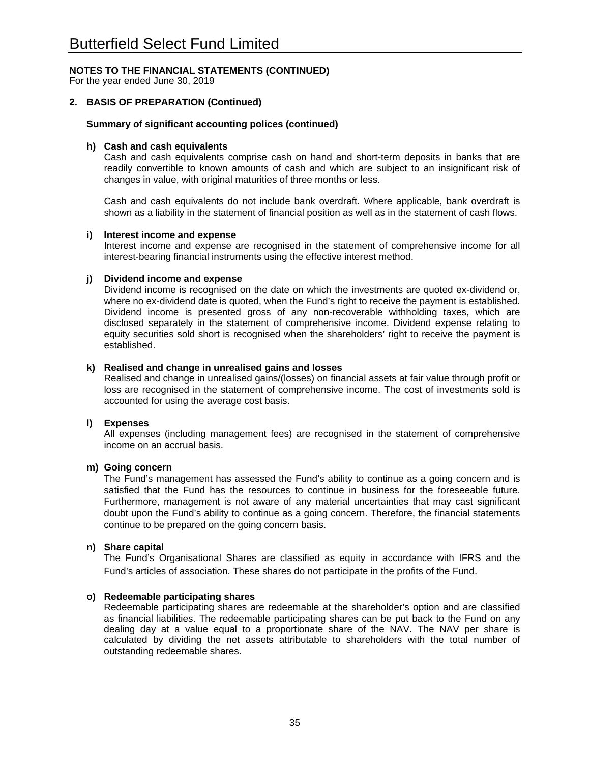For the year ended June 30, 2019

### **2. BASIS OF PREPARATION (Continued)**

#### **Summary of significant accounting polices (continued)**

#### **h) Cash and cash equivalents**

Cash and cash equivalents comprise cash on hand and short-term deposits in banks that are readily convertible to known amounts of cash and which are subject to an insignificant risk of changes in value, with original maturities of three months or less.

Cash and cash equivalents do not include bank overdraft. Where applicable, bank overdraft is shown as a liability in the statement of financial position as well as in the statement of cash flows.

#### **i) Interest income and expense**

Interest income and expense are recognised in the statement of comprehensive income for all interest-bearing financial instruments using the effective interest method.

#### **j) Dividend income and expense**

Dividend income is recognised on the date on which the investments are quoted ex-dividend or, where no ex-dividend date is quoted, when the Fund's right to receive the payment is established. Dividend income is presented gross of any non-recoverable withholding taxes, which are disclosed separately in the statement of comprehensive income. Dividend expense relating to equity securities sold short is recognised when the shareholders' right to receive the payment is established.

#### **k) Realised and change in unrealised gains and losses**

Realised and change in unrealised gains/(losses) on financial assets at fair value through profit or loss are recognised in the statement of comprehensive income. The cost of investments sold is accounted for using the average cost basis.

#### **l) Expenses**

All expenses (including management fees) are recognised in the statement of comprehensive income on an accrual basis.

#### **m) Going concern**

The Fund's management has assessed the Fund's ability to continue as a going concern and is satisfied that the Fund has the resources to continue in business for the foreseeable future. Furthermore, management is not aware of any material uncertainties that may cast significant doubt upon the Fund's ability to continue as a going concern. Therefore, the financial statements continue to be prepared on the going concern basis.

#### **n) Share capital**

The Fund's Organisational Shares are classified as equity in accordance with IFRS and the Fund's articles of association. These shares do not participate in the profits of the Fund.

#### **o) Redeemable participating shares**

Redeemable participating shares are redeemable at the shareholder's option and are classified as financial liabilities. The redeemable participating shares can be put back to the Fund on any dealing day at a value equal to a proportionate share of the NAV. The NAV per share is calculated by dividing the net assets attributable to shareholders with the total number of outstanding redeemable shares.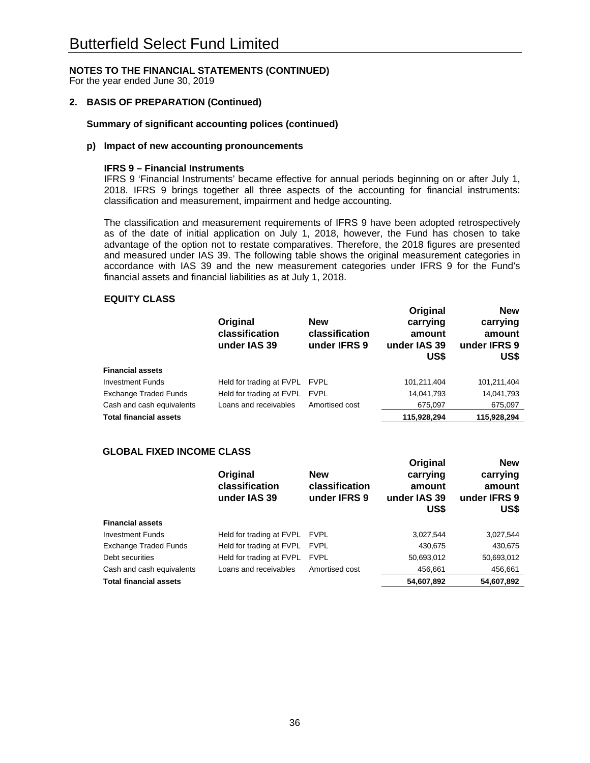For the year ended June 30, 2019

#### **2. BASIS OF PREPARATION (Continued)**

### **Summary of significant accounting polices (continued)**

#### **p) Impact of new accounting pronouncements**

#### **IFRS 9 – Financial Instruments**

IFRS 9 'Financial Instruments' became effective for annual periods beginning on or after July 1, 2018. IFRS 9 brings together all three aspects of the accounting for financial instruments: classification and measurement, impairment and hedge accounting.

The classification and measurement requirements of IFRS 9 have been adopted retrospectively as of the date of initial application on July 1, 2018, however, the Fund has chosen to take advantage of the option not to restate comparatives. Therefore, the 2018 figures are presented and measured under IAS 39. The following table shows the original measurement categories in accordance with IAS 39 and the new measurement categories under IFRS 9 for the Fund's financial assets and financial liabilities as at July 1, 2018.

**New**

**Original** 

#### **EQUITY CLASS**

|                               | Original<br>classification<br>under IAS 39 | <b>New</b><br>classification<br>under IFRS 9 | Original<br>carrying<br>amount<br>under IAS 39<br>US\$ | <b>New</b><br>carrying<br>amount<br>under IFRS 9<br>US\$ |
|-------------------------------|--------------------------------------------|----------------------------------------------|--------------------------------------------------------|----------------------------------------------------------|
| <b>Financial assets</b>       |                                            |                                              |                                                        |                                                          |
| <b>Investment Funds</b>       | Held for trading at FVPL FVPL              |                                              | 101,211,404                                            | 101,211,404                                              |
| <b>Exchange Traded Funds</b>  | Held for trading at FVPL                   | <b>FVPL</b>                                  | 14,041,793                                             | 14,041,793                                               |
| Cash and cash equivalents     | Loans and receivables                      | Amortised cost                               | 675,097                                                | 675,097                                                  |
| <b>Total financial assets</b> |                                            |                                              | 115,928,294                                            | 115,928,294                                              |

#### **GLOBAL FIXED INCOME CLASS**

|                               | Original<br>classification<br>under IAS 39 | <b>New</b><br>classification<br>under IFRS 9 | Uriginal<br>carrying<br>amount<br>under IAS 39<br>US\$ | <b>New</b><br>carrying<br>amount<br>under IFRS 9<br>US\$ |
|-------------------------------|--------------------------------------------|----------------------------------------------|--------------------------------------------------------|----------------------------------------------------------|
| <b>Financial assets</b>       |                                            |                                              |                                                        |                                                          |
| <b>Investment Funds</b>       | Held for trading at FVPL                   | <b>FVPL</b>                                  | 3,027,544                                              | 3,027,544                                                |
| <b>Exchange Traded Funds</b>  | Held for trading at FVPL                   | <b>FVPL</b>                                  | 430,675                                                | 430,675                                                  |
| Debt securities               | Held for trading at FVPL                   | <b>FVPL</b>                                  | 50,693,012                                             | 50,693,012                                               |
| Cash and cash equivalents     | Loans and receivables                      | Amortised cost                               | 456,661                                                | 456,661                                                  |
| <b>Total financial assets</b> |                                            |                                              | 54,607,892                                             | 54,607,892                                               |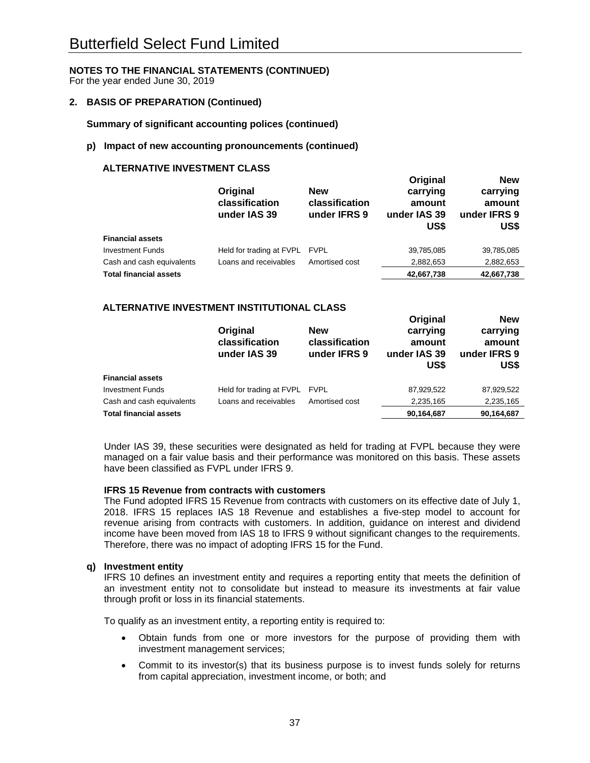For the year ended June 30, 2019

#### **2. BASIS OF PREPARATION (Continued)**

**Summary of significant accounting polices (continued)** 

#### **p) Impact of new accounting pronouncements (continued)**

# **ALTERNATIVE INVESTMENT CLASS**

|                               | Original<br>classification<br>under IAS 39 | <b>New</b><br>classification<br>under IFRS 9 | Original<br>carrying<br>amount<br>under IAS 39<br>US\$ | <b>New</b><br>carrying<br>amount<br>under IFRS 9<br>US\$ |
|-------------------------------|--------------------------------------------|----------------------------------------------|--------------------------------------------------------|----------------------------------------------------------|
| <b>Financial assets</b>       |                                            |                                              |                                                        |                                                          |
| <b>Investment Funds</b>       | Held for trading at FVPL                   | <b>FVPL</b>                                  | 39,785,085                                             | 39,785,085                                               |
| Cash and cash equivalents     | Loans and receivables                      | Amortised cost                               | 2,882,653                                              | 2,882,653                                                |
| <b>Total financial assets</b> |                                            |                                              | 42,667,738                                             | 42,667,738                                               |

#### **ALTERNATIVE INVESTMENT INSTITUTIONAL CLASS**

|                               | Original<br>classification<br>under IAS 39 | <b>New</b><br>classification<br>under IFRS 9 | Unqinal<br>carrying<br>amount<br>under IAS 39<br>US\$ | <b>NGM</b><br>carrying<br>amount<br>under IFRS 9<br>US\$ |
|-------------------------------|--------------------------------------------|----------------------------------------------|-------------------------------------------------------|----------------------------------------------------------|
| <b>Financial assets</b>       |                                            |                                              |                                                       |                                                          |
| <b>Investment Funds</b>       | Held for trading at FVPL FVPL              |                                              | 87,929,522                                            | 87,929,522                                               |
| Cash and cash equivalents     | Loans and receivables                      | Amortised cost                               | 2,235,165                                             | 2,235,165                                                |
| <b>Total financial assets</b> |                                            |                                              | 90,164,687                                            | 90,164,687                                               |

**Original** 

**New**

Under IAS 39, these securities were designated as held for trading at FVPL because they were managed on a fair value basis and their performance was monitored on this basis. These assets have been classified as FVPL under IFRS 9.

#### **IFRS 15 Revenue from contracts with customers**

The Fund adopted IFRS 15 Revenue from contracts with customers on its effective date of July 1, 2018. IFRS 15 replaces IAS 18 Revenue and establishes a five-step model to account for revenue arising from contracts with customers. In addition, guidance on interest and dividend income have been moved from IAS 18 to IFRS 9 without significant changes to the requirements. Therefore, there was no impact of adopting IFRS 15 for the Fund.

#### **q) Investment entity**

IFRS 10 defines an investment entity and requires a reporting entity that meets the definition of an investment entity not to consolidate but instead to measure its investments at fair value through profit or loss in its financial statements.

To qualify as an investment entity, a reporting entity is required to:

- Obtain funds from one or more investors for the purpose of providing them with investment management services;
- Commit to its investor(s) that its business purpose is to invest funds solely for returns from capital appreciation, investment income, or both; and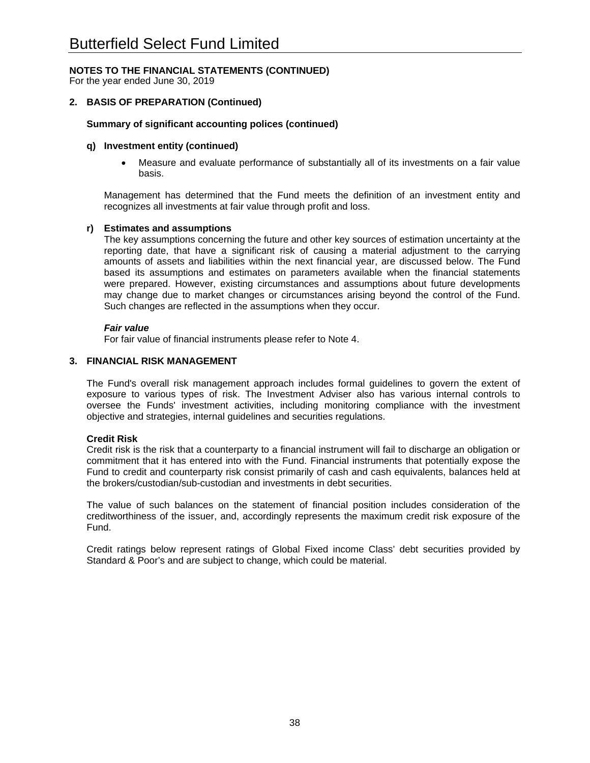For the year ended June 30, 2019

#### **2. BASIS OF PREPARATION (Continued)**

#### **Summary of significant accounting polices (continued)**

#### **q) Investment entity (continued)**

 Measure and evaluate performance of substantially all of its investments on a fair value basis.

Management has determined that the Fund meets the definition of an investment entity and recognizes all investments at fair value through profit and loss.

#### **r) Estimates and assumptions**

The key assumptions concerning the future and other key sources of estimation uncertainty at the reporting date, that have a significant risk of causing a material adjustment to the carrying amounts of assets and liabilities within the next financial year, are discussed below. The Fund based its assumptions and estimates on parameters available when the financial statements were prepared. However, existing circumstances and assumptions about future developments may change due to market changes or circumstances arising beyond the control of the Fund. Such changes are reflected in the assumptions when they occur.

#### *Fair value*

For fair value of financial instruments please refer to Note 4.

#### **3. FINANCIAL RISK MANAGEMENT**

The Fund's overall risk management approach includes formal guidelines to govern the extent of exposure to various types of risk. The Investment Adviser also has various internal controls to oversee the Funds' investment activities, including monitoring compliance with the investment objective and strategies, internal guidelines and securities regulations.

#### **Credit Risk**

Credit risk is the risk that a counterparty to a financial instrument will fail to discharge an obligation or commitment that it has entered into with the Fund. Financial instruments that potentially expose the Fund to credit and counterparty risk consist primarily of cash and cash equivalents, balances held at the brokers/custodian/sub-custodian and investments in debt securities.

The value of such balances on the statement of financial position includes consideration of the creditworthiness of the issuer, and, accordingly represents the maximum credit risk exposure of the Fund.

Credit ratings below represent ratings of Global Fixed income Class' debt securities provided by Standard & Poor's and are subject to change, which could be material.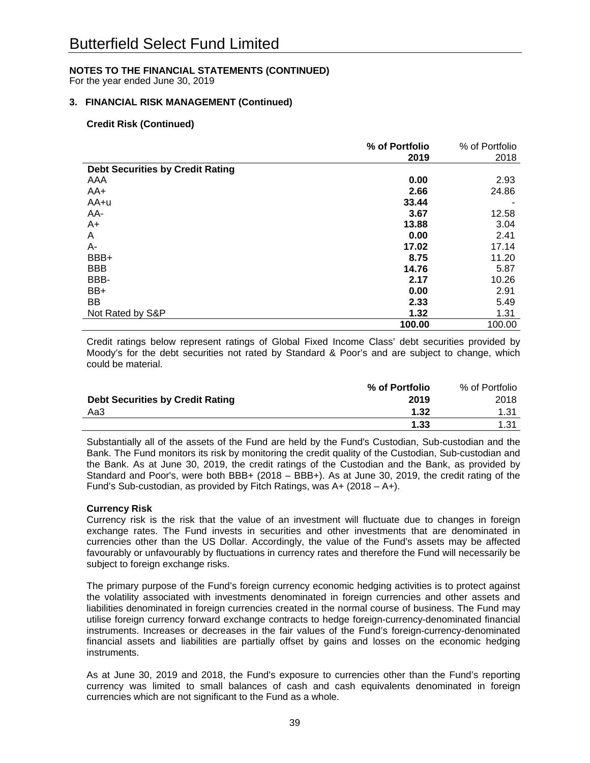For the year ended June 30, 2019

# **3. FINANCIAL RISK MANAGEMENT (Continued)**

#### **Credit Risk (Continued)**

|                                         | % of Portfolio | % of Portfolio |
|-----------------------------------------|----------------|----------------|
|                                         | 2019           | 2018           |
| <b>Debt Securities by Credit Rating</b> |                |                |
| AAA                                     | 0.00           | 2.93           |
| AA+                                     | 2.66           | 24.86          |
| AA+u                                    | 33.44          |                |
| AA-                                     | 3.67           | 12.58          |
| $A+$                                    | 13.88          | 3.04           |
| A                                       | 0.00           | 2.41           |
| А-                                      | 17.02          | 17.14          |
| BBB+                                    | 8.75           | 11.20          |
| <b>BBB</b>                              | 14.76          | 5.87           |
| BBB-                                    | 2.17           | 10.26          |
| BB+                                     | 0.00           | 2.91           |
| BB                                      | 2.33           | 5.49           |
| Not Rated by S&P                        | 1.32           | 1.31           |
|                                         | 100.00         | 100.00         |

Credit ratings below represent ratings of Global Fixed Income Class' debt securities provided by Moody's for the debt securities not rated by Standard & Poor's and are subject to change, which could be material.

|                                         | % of Portfolio | % of Portfolio |
|-----------------------------------------|----------------|----------------|
| <b>Debt Securities by Credit Rating</b> | 2019           | 2018           |
| Aa3                                     | 1.32           | 1.31           |
|                                         | 1.33           | 1.31           |

Substantially all of the assets of the Fund are held by the Fund's Custodian, Sub-custodian and the Bank. The Fund monitors its risk by monitoring the credit quality of the Custodian, Sub-custodian and the Bank. As at June 30, 2019, the credit ratings of the Custodian and the Bank, as provided by Standard and Poor's, were both BBB+ (2018 – BBB+). As at June 30, 2019, the credit rating of the Fund's Sub-custodian, as provided by Fitch Ratings, was A+ (2018 – A+).

#### **Currency Risk**

Currency risk is the risk that the value of an investment will fluctuate due to changes in foreign exchange rates. The Fund invests in securities and other investments that are denominated in currencies other than the US Dollar. Accordingly, the value of the Fund's assets may be affected favourably or unfavourably by fluctuations in currency rates and therefore the Fund will necessarily be subject to foreign exchange risks.

The primary purpose of the Fund's foreign currency economic hedging activities is to protect against the volatility associated with investments denominated in foreign currencies and other assets and liabilities denominated in foreign currencies created in the normal course of business. The Fund may utilise foreign currency forward exchange contracts to hedge foreign-currency-denominated financial instruments. Increases or decreases in the fair values of the Fund's foreign-currency-denominated financial assets and liabilities are partially offset by gains and losses on the economic hedging instruments.

As at June 30, 2019 and 2018, the Fund's exposure to currencies other than the Fund's reporting currency was limited to small balances of cash and cash equivalents denominated in foreign currencies which are not significant to the Fund as a whole.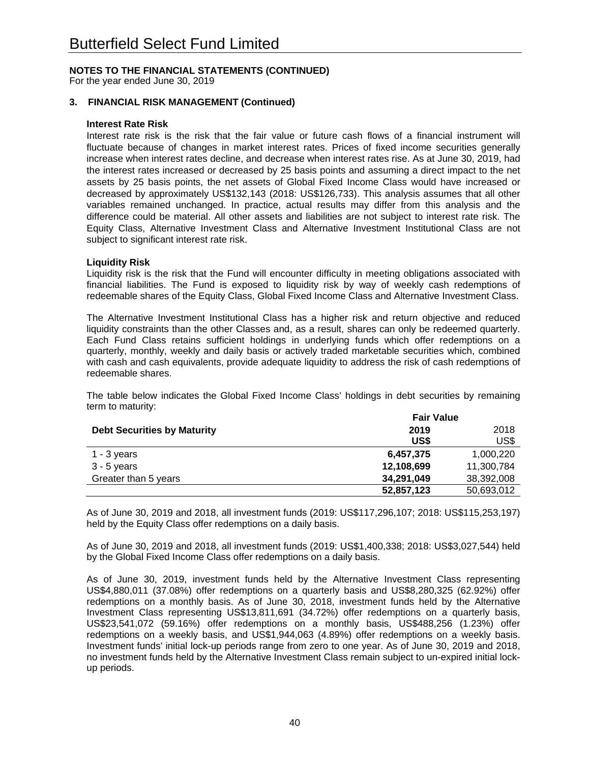For the year ended June 30, 2019

# **3. FINANCIAL RISK MANAGEMENT (Continued)**

#### **Interest Rate Risk**

Interest rate risk is the risk that the fair value or future cash flows of a financial instrument will fluctuate because of changes in market interest rates. Prices of fixed income securities generally increase when interest rates decline, and decrease when interest rates rise. As at June 30, 2019, had the interest rates increased or decreased by 25 basis points and assuming a direct impact to the net assets by 25 basis points, the net assets of Global Fixed Income Class would have increased or decreased by approximately US\$132,143 (2018: US\$126,733). This analysis assumes that all other variables remained unchanged. In practice, actual results may differ from this analysis and the difference could be material. All other assets and liabilities are not subject to interest rate risk. The Equity Class, Alternative Investment Class and Alternative Investment Institutional Class are not subject to significant interest rate risk.

# **Liquidity Risk**

Liquidity risk is the risk that the Fund will encounter difficulty in meeting obligations associated with financial liabilities. The Fund is exposed to liquidity risk by way of weekly cash redemptions of redeemable shares of the Equity Class, Global Fixed Income Class and Alternative Investment Class.

The Alternative Investment Institutional Class has a higher risk and return objective and reduced liquidity constraints than the other Classes and, as a result, shares can only be redeemed quarterly. Each Fund Class retains sufficient holdings in underlying funds which offer redemptions on a quarterly, monthly, weekly and daily basis or actively traded marketable securities which, combined with cash and cash equivalents, provide adequate liquidity to address the risk of cash redemptions of redeemable shares.

The table below indicates the Global Fixed Income Class' holdings in debt securities by remaining term to maturity:

|                                    | <b>Fair Value</b> |            |  |  |
|------------------------------------|-------------------|------------|--|--|
| <b>Debt Securities by Maturity</b> | 2019<br>2018      |            |  |  |
|                                    | US\$              | US\$       |  |  |
| $1 - 3$ years                      | 6,457,375         | 1,000,220  |  |  |
| $3 - 5$ years                      | 12,108,699        | 11,300,784 |  |  |
| Greater than 5 years               | 34,291,049        | 38,392,008 |  |  |
|                                    | 52,857,123        | 50,693,012 |  |  |

As of June 30, 2019 and 2018, all investment funds (2019: US\$117,296,107; 2018: US\$115,253,197) held by the Equity Class offer redemptions on a daily basis.

As of June 30, 2019 and 2018, all investment funds (2019: US\$1,400,338; 2018: US\$3,027,544) held by the Global Fixed Income Class offer redemptions on a daily basis.

As of June 30, 2019, investment funds held by the Alternative Investment Class representing US\$4,880,011 (37.08%) offer redemptions on a quarterly basis and US\$8,280,325 (62.92%) offer redemptions on a monthly basis. As of June 30, 2018, investment funds held by the Alternative Investment Class representing US\$13,811,691 (34.72%) offer redemptions on a quarterly basis, US\$23,541,072 (59.16%) offer redemptions on a monthly basis, US\$488,256 (1.23%) offer redemptions on a weekly basis, and US\$1,944,063 (4.89%) offer redemptions on a weekly basis. Investment funds' initial lock-up periods range from zero to one year. As of June 30, 2019 and 2018, no investment funds held by the Alternative Investment Class remain subject to un-expired initial lockup periods.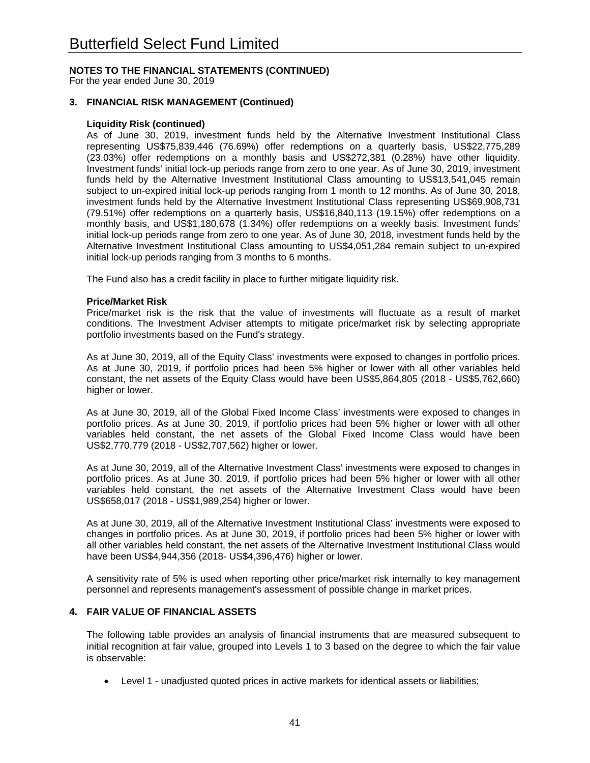For the year ended June 30, 2019

### **3. FINANCIAL RISK MANAGEMENT (Continued)**

#### **Liquidity Risk (continued)**

As of June 30, 2019, investment funds held by the Alternative Investment Institutional Class representing US\$75,839,446 (76.69%) offer redemptions on a quarterly basis, US\$22,775,289 (23.03%) offer redemptions on a monthly basis and US\$272,381 (0.28%) have other liquidity. Investment funds' initial lock-up periods range from zero to one year. As of June 30, 2019, investment funds held by the Alternative Investment Institutional Class amounting to US\$13,541,045 remain subject to un-expired initial lock-up periods ranging from 1 month to 12 months. As of June 30, 2018, investment funds held by the Alternative Investment Institutional Class representing US\$69,908,731 (79.51%) offer redemptions on a quarterly basis, US\$16,840,113 (19.15%) offer redemptions on a monthly basis, and US\$1,180,678 (1.34%) offer redemptions on a weekly basis. Investment funds' initial lock-up periods range from zero to one year. As of June 30, 2018, investment funds held by the Alternative Investment Institutional Class amounting to US\$4,051,284 remain subject to un-expired initial lock-up periods ranging from 3 months to 6 months.

The Fund also has a credit facility in place to further mitigate liquidity risk.

#### **Price/Market Risk**

Price/market risk is the risk that the value of investments will fluctuate as a result of market conditions. The Investment Adviser attempts to mitigate price/market risk by selecting appropriate portfolio investments based on the Fund's strategy.

As at June 30, 2019, all of the Equity Class' investments were exposed to changes in portfolio prices. As at June 30, 2019, if portfolio prices had been 5% higher or lower with all other variables held constant, the net assets of the Equity Class would have been US\$5,864,805 (2018 - US\$5,762,660) higher or lower.

As at June 30, 2019, all of the Global Fixed Income Class' investments were exposed to changes in portfolio prices. As at June 30, 2019, if portfolio prices had been 5% higher or lower with all other variables held constant, the net assets of the Global Fixed Income Class would have been US\$2,770,779 (2018 - US\$2,707,562) higher or lower.

As at June 30, 2019, all of the Alternative Investment Class' investments were exposed to changes in portfolio prices. As at June 30, 2019, if portfolio prices had been 5% higher or lower with all other variables held constant, the net assets of the Alternative Investment Class would have been US\$658,017 (2018 - US\$1,989,254) higher or lower.

As at June 30, 2019, all of the Alternative Investment Institutional Class' investments were exposed to changes in portfolio prices. As at June 30, 2019, if portfolio prices had been 5% higher or lower with all other variables held constant, the net assets of the Alternative Investment Institutional Class would have been US\$4,944,356 (2018- US\$4,396,476) higher or lower.

A sensitivity rate of 5% is used when reporting other price/market risk internally to key management personnel and represents management's assessment of possible change in market prices.

# **4. FAIR VALUE OF FINANCIAL ASSETS**

The following table provides an analysis of financial instruments that are measured subsequent to initial recognition at fair value, grouped into Levels 1 to 3 based on the degree to which the fair value is observable:

Level 1 - unadjusted quoted prices in active markets for identical assets or liabilities;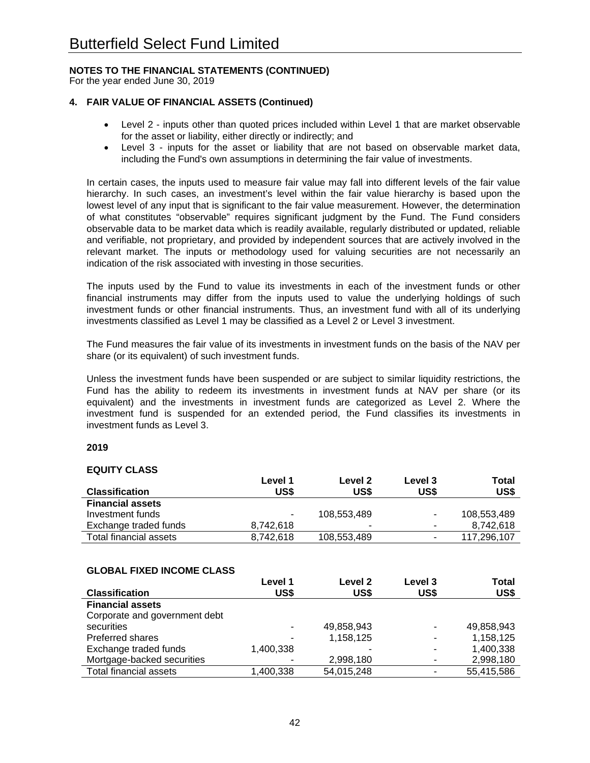For the year ended June 30, 2019

# **4. FAIR VALUE OF FINANCIAL ASSETS (Continued)**

- Level 2 inputs other than quoted prices included within Level 1 that are market observable for the asset or liability, either directly or indirectly; and
- Level 3 inputs for the asset or liability that are not based on observable market data, including the Fund's own assumptions in determining the fair value of investments.

In certain cases, the inputs used to measure fair value may fall into different levels of the fair value hierarchy. In such cases, an investment's level within the fair value hierarchy is based upon the lowest level of any input that is significant to the fair value measurement. However, the determination of what constitutes "observable" requires significant judgment by the Fund. The Fund considers observable data to be market data which is readily available, regularly distributed or updated, reliable and verifiable, not proprietary, and provided by independent sources that are actively involved in the relevant market. The inputs or methodology used for valuing securities are not necessarily an indication of the risk associated with investing in those securities.

The inputs used by the Fund to value its investments in each of the investment funds or other financial instruments may differ from the inputs used to value the underlying holdings of such investment funds or other financial instruments. Thus, an investment fund with all of its underlying investments classified as Level 1 may be classified as a Level 2 or Level 3 investment.

The Fund measures the fair value of its investments in investment funds on the basis of the NAV per share (or its equivalent) of such investment funds.

Unless the investment funds have been suspended or are subject to similar liquidity restrictions, the Fund has the ability to redeem its investments in investment funds at NAV per share (or its equivalent) and the investments in investment funds are categorized as Level 2. Where the investment fund is suspended for an extended period, the Fund classifies its investments in investment funds as Level 3.

#### **2019**

#### **EQUITY CLASS**

|                         | Level 1   | Level 2     | Level 3 | Total       |
|-------------------------|-----------|-------------|---------|-------------|
| <b>Classification</b>   | US\$      | US\$        | US\$    | US\$        |
| <b>Financial assets</b> |           |             |         |             |
| Investment funds        | $\sim$    | 108.553.489 | ۰       | 108,553,489 |
| Exchange traded funds   | 8.742.618 | ۰           | ۰       | 8.742.618   |
| Total financial assets  | 8.742.618 | 108,553,489 | -       | 117.296.107 |

#### **GLOBAL FIXED INCOME CLASS**

|                               | Level 1   | Level 2    | Level 3 | Total      |
|-------------------------------|-----------|------------|---------|------------|
| <b>Classification</b>         | US\$      | US\$       | US\$    | US\$       |
| <b>Financial assets</b>       |           |            |         |            |
| Corporate and government debt |           |            |         |            |
| securities                    | ۰         | 49,858,943 |         | 49,858,943 |
| <b>Preferred shares</b>       | -         | 1,158,125  |         | 1,158,125  |
| Exchange traded funds         | 1.400.338 |            |         | 1,400,338  |
| Mortgage-backed securities    |           | 2,998,180  |         | 2,998,180  |
| <b>Total financial assets</b> | 1,400,338 | 54,015,248 |         | 55,415,586 |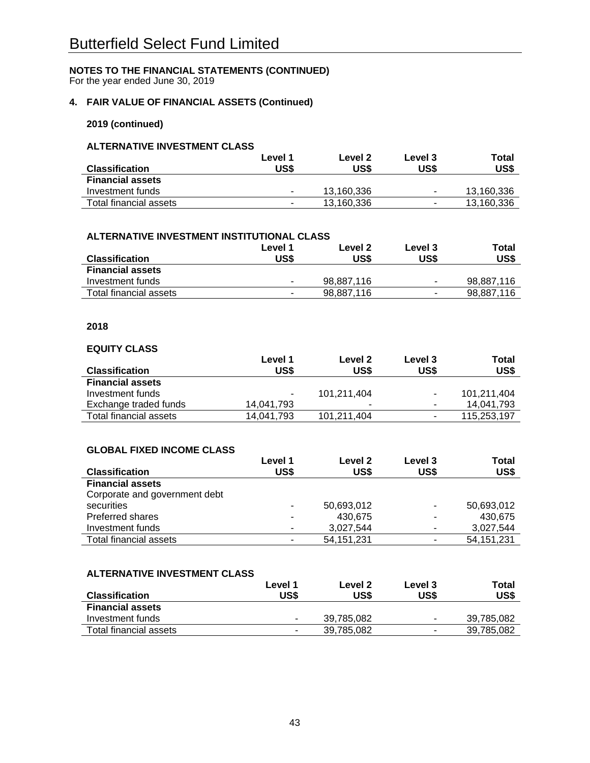For the year ended June 30, 2019

# **4. FAIR VALUE OF FINANCIAL ASSETS (Continued)**

### **2019 (continued)**

# **ALTERNATIVE INVESTMENT CLASS**

|                         | Level 1        | Level 2    | Level 3        | Total      |
|-------------------------|----------------|------------|----------------|------------|
| <b>Classification</b>   | US\$           | US\$       | US\$           | US\$       |
| <b>Financial assets</b> |                |            |                |            |
| Investment funds        | ۰              | 13.160.336 | $\blacksquare$ | 13.160.336 |
| Total financial assets  | $\blacksquare$ | 13.160.336 | $\blacksquare$ | 13,160,336 |

#### **ALTERNATIVE INVESTMENT INSTITUTIONAL CLASS**

|                         | Level 1 | Level 2    | Level 3        | Total      |
|-------------------------|---------|------------|----------------|------------|
| <b>Classification</b>   | US\$    | US\$       | US\$           | US\$       |
| <b>Financial assets</b> |         |            |                |            |
| Investment funds        |         | 98,887,116 | ۰              | 98.887.116 |
| Total financial assets  | $\sim$  | 98,887,116 | $\blacksquare$ | 98,887,116 |

### **2018**

#### **EQUITY CLASS**

|                         | Level 1    | Level 2     | Level 3                  | Total       |
|-------------------------|------------|-------------|--------------------------|-------------|
| <b>Classification</b>   | US\$       | US\$        | US\$                     | US\$        |
| <b>Financial assets</b> |            |             |                          |             |
| Investment funds        | ۰.         | 101.211.404 | $\overline{\phantom{a}}$ | 101,211,404 |
| Exchange traded funds   | 14,041,793 | -           | ۰                        | 14,041,793  |
| Total financial assets  | 14.041.793 | 101.211.404 | ۰                        | 115,253,197 |

#### **GLOBAL FIXED INCOME CLASS**

|                               | Level 1 | Level 2      | Level 3                  | Total        |
|-------------------------------|---------|--------------|--------------------------|--------------|
| <b>Classification</b>         | US\$    | US\$         | US\$                     | US\$         |
| <b>Financial assets</b>       |         |              |                          |              |
| Corporate and government debt |         |              |                          |              |
| securities                    |         | 50,693,012   | $\overline{\phantom{a}}$ | 50,693,012   |
| Preferred shares              |         | 430,675      |                          | 430,675      |
| Investment funds              |         | 3,027,544    | ۰                        | 3,027,544    |
| Total financial assets        |         | 54, 151, 231 | $\blacksquare$           | 54, 151, 231 |

#### **ALTERNATIVE INVESTMENT CLASS**

|                         | Level 1 | Level 2    | Level 3        | Total      |
|-------------------------|---------|------------|----------------|------------|
| <b>Classification</b>   | US\$    | US\$       | US\$           | US\$       |
| <b>Financial assets</b> |         |            |                |            |
| Investment funds        | ۰       | 39.785.082 | $\blacksquare$ | 39.785.082 |
| Total financial assets  | ۰       | 39,785,082 | $\blacksquare$ | 39,785,082 |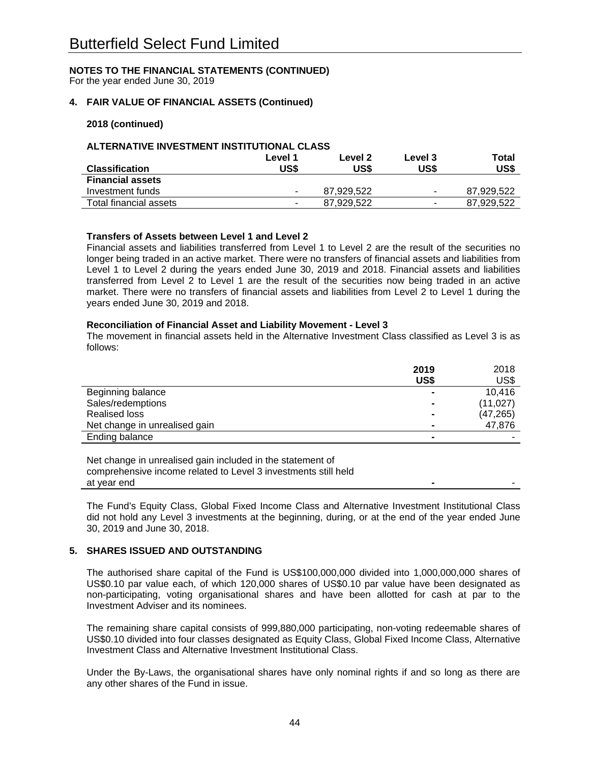For the year ended June 30, 2019

### **4. FAIR VALUE OF FINANCIAL ASSETS (Continued)**

#### **2018 (continued)**

#### **ALTERNATIVE INVESTMENT INSTITUTIONAL CLASS**

|                         | Level 1                  | Level 2    | Level 3                  | Total      |
|-------------------------|--------------------------|------------|--------------------------|------------|
| <b>Classification</b>   | US\$                     | US\$       | US\$                     | US\$       |
| <b>Financial assets</b> |                          |            |                          |            |
| Investment funds        | $\blacksquare$           | 87.929.522 | $\blacksquare$           | 87.929.522 |
| Total financial assets  | $\overline{\phantom{a}}$ | 87.929.522 | $\overline{\phantom{a}}$ | 87.929.522 |

#### **Transfers of Assets between Level 1 and Level 2**

Financial assets and liabilities transferred from Level 1 to Level 2 are the result of the securities no longer being traded in an active market. There were no transfers of financial assets and liabilities from Level 1 to Level 2 during the years ended June 30, 2019 and 2018. Financial assets and liabilities transferred from Level 2 to Level 1 are the result of the securities now being traded in an active market. There were no transfers of financial assets and liabilities from Level 2 to Level 1 during the years ended June 30, 2019 and 2018.

#### **Reconciliation of Financial Asset and Liability Movement - Level 3**

The movement in financial assets held in the Alternative Investment Class classified as Level 3 is as follows:

|                               | 2019           | 2018      |
|-------------------------------|----------------|-----------|
|                               | US\$           | US\$      |
| Beginning balance             |                | 10,416    |
| Sales/redemptions             |                | (11, 027) |
| <b>Realised loss</b>          | $\blacksquare$ | (47, 265) |
| Net change in unrealised gain |                | 47,876    |
| Ending balance                |                |           |

Net change in unrealised gain included in the statement of comprehensive income related to Level 3 investments still held at year end

The Fund's Equity Class, Global Fixed Income Class and Alternative Investment Institutional Class did not hold any Level 3 investments at the beginning, during, or at the end of the year ended June 30, 2019 and June 30, 2018.

#### **5. SHARES ISSUED AND OUTSTANDING**

The authorised share capital of the Fund is US\$100,000,000 divided into 1,000,000,000 shares of US\$0.10 par value each, of which 120,000 shares of US\$0.10 par value have been designated as non-participating, voting organisational shares and have been allotted for cash at par to the Investment Adviser and its nominees.

The remaining share capital consists of 999,880,000 participating, non-voting redeemable shares of US\$0.10 divided into four classes designated as Equity Class, Global Fixed Income Class, Alternative Investment Class and Alternative Investment Institutional Class.

Under the By-Laws, the organisational shares have only nominal rights if and so long as there are any other shares of the Fund in issue.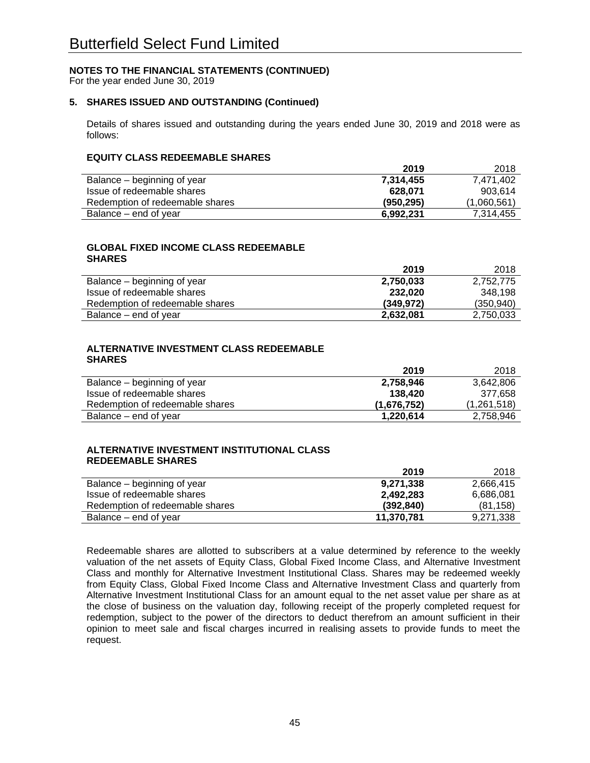For the year ended June 30, 2019

# **5. SHARES ISSUED AND OUTSTANDING (Continued)**

Details of shares issued and outstanding during the years ended June 30, 2019 and 2018 were as follows:

#### **EQUITY CLASS REDEEMABLE SHARES**

|                                 | 2019       | 2018        |
|---------------------------------|------------|-------------|
| Balance – beginning of year     | 7,314,455  | 7.471.402   |
| Issue of redeemable shares      | 628.071    | 903.614     |
| Redemption of redeemable shares | (950, 295) | (1,060,561) |
| Balance – end of year           | 6.992.231  | 7.314.455   |

#### **GLOBAL FIXED INCOME CLASS REDEEMABLE SHARES**

|                                 | 2019      | 2018       |
|---------------------------------|-----------|------------|
| Balance – beginning of year     | 2,750,033 | 2,752,775  |
| Issue of redeemable shares      | 232.020   | 348.198    |
| Redemption of redeemable shares | (349.972) | (350, 940) |
| Balance – end of year           | 2,632,081 | 2,750,033  |

#### **ALTERNATIVE INVESTMENT CLASS REDEEMABLE SHARES**

|                                 | 2019        | 2018        |
|---------------------------------|-------------|-------------|
| Balance – beginning of year     | 2,758,946   | 3,642,806   |
| Issue of redeemable shares      | 138.420     | 377,658     |
| Redemption of redeemable shares | (1,676,752) | (1,261,518) |
| Balance – end of year           | 1,220,614   | 2,758,946   |

#### **ALTERNATIVE INVESTMENT INSTITUTIONAL CLASS REDEEMABLE SHARES**

|                                 | 2019       | 2018      |
|---------------------------------|------------|-----------|
| Balance – beginning of year     | 9,271,338  | 2.666.415 |
| Issue of redeemable shares      | 2,492,283  | 6,686,081 |
| Redemption of redeemable shares | (392.840)  | (81.158)  |
| Balance – end of year           | 11,370,781 | 9,271,338 |

Redeemable shares are allotted to subscribers at a value determined by reference to the weekly valuation of the net assets of Equity Class, Global Fixed Income Class, and Alternative Investment Class and monthly for Alternative Investment Institutional Class. Shares may be redeemed weekly from Equity Class, Global Fixed Income Class and Alternative Investment Class and quarterly from Alternative Investment Institutional Class for an amount equal to the net asset value per share as at the close of business on the valuation day, following receipt of the properly completed request for redemption, subject to the power of the directors to deduct therefrom an amount sufficient in their opinion to meet sale and fiscal charges incurred in realising assets to provide funds to meet the request.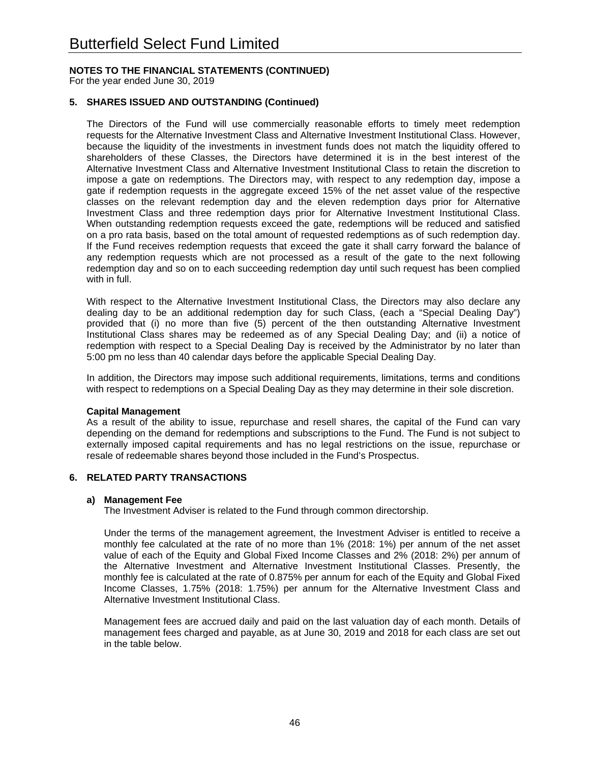For the year ended June 30, 2019

# **5. SHARES ISSUED AND OUTSTANDING (Continued)**

The Directors of the Fund will use commercially reasonable efforts to timely meet redemption requests for the Alternative Investment Class and Alternative Investment Institutional Class. However, because the liquidity of the investments in investment funds does not match the liquidity offered to shareholders of these Classes, the Directors have determined it is in the best interest of the Alternative Investment Class and Alternative Investment Institutional Class to retain the discretion to impose a gate on redemptions. The Directors may, with respect to any redemption day, impose a gate if redemption requests in the aggregate exceed 15% of the net asset value of the respective classes on the relevant redemption day and the eleven redemption days prior for Alternative Investment Class and three redemption days prior for Alternative Investment Institutional Class. When outstanding redemption requests exceed the gate, redemptions will be reduced and satisfied on a pro rata basis, based on the total amount of requested redemptions as of such redemption day. If the Fund receives redemption requests that exceed the gate it shall carry forward the balance of any redemption requests which are not processed as a result of the gate to the next following redemption day and so on to each succeeding redemption day until such request has been complied with in full.

With respect to the Alternative Investment Institutional Class, the Directors may also declare any dealing day to be an additional redemption day for such Class, (each a "Special Dealing Day") provided that (i) no more than five (5) percent of the then outstanding Alternative Investment Institutional Class shares may be redeemed as of any Special Dealing Day; and (ii) a notice of redemption with respect to a Special Dealing Day is received by the Administrator by no later than 5:00 pm no less than 40 calendar days before the applicable Special Dealing Day.

In addition, the Directors may impose such additional requirements, limitations, terms and conditions with respect to redemptions on a Special Dealing Day as they may determine in their sole discretion.

#### **Capital Management**

As a result of the ability to issue, repurchase and resell shares, the capital of the Fund can vary depending on the demand for redemptions and subscriptions to the Fund. The Fund is not subject to externally imposed capital requirements and has no legal restrictions on the issue, repurchase or resale of redeemable shares beyond those included in the Fund's Prospectus.

#### **6. RELATED PARTY TRANSACTIONS**

#### **a) Management Fee**

The Investment Adviser is related to the Fund through common directorship.

Under the terms of the management agreement, the Investment Adviser is entitled to receive a monthly fee calculated at the rate of no more than 1% (2018: 1%) per annum of the net asset value of each of the Equity and Global Fixed Income Classes and 2% (2018: 2%) per annum of the Alternative Investment and Alternative Investment Institutional Classes. Presently, the monthly fee is calculated at the rate of 0.875% per annum for each of the Equity and Global Fixed Income Classes, 1.75% (2018: 1.75%) per annum for the Alternative Investment Class and Alternative Investment Institutional Class.

Management fees are accrued daily and paid on the last valuation day of each month. Details of management fees charged and payable, as at June 30, 2019 and 2018 for each class are set out in the table below.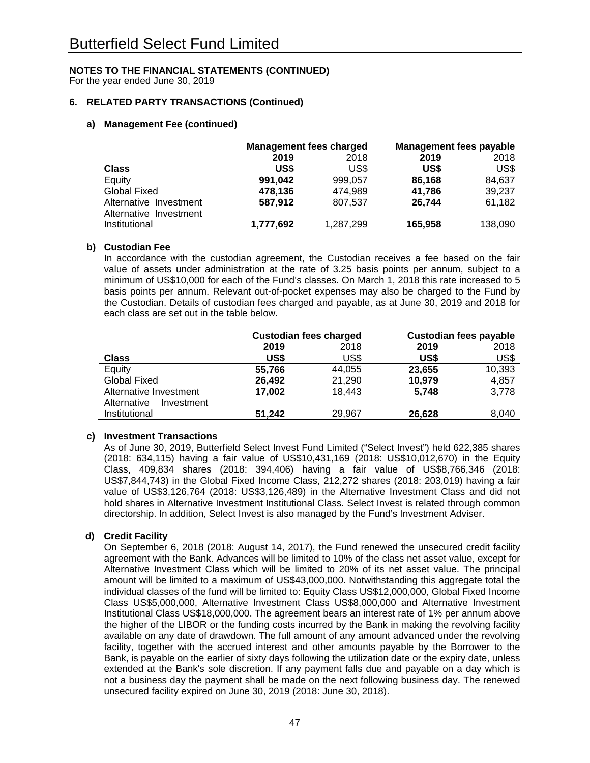For the year ended June 30, 2019

# **6. RELATED PARTY TRANSACTIONS (Continued)**

# **a) Management Fee (continued)**

|                        | <b>Management fees charged</b> |           | <b>Management fees payable</b> |         |
|------------------------|--------------------------------|-----------|--------------------------------|---------|
|                        | 2019                           | 2018      | 2019                           | 2018    |
| <b>Class</b>           | US\$                           | US\$      | US\$                           | US\$    |
| Equity                 | 991.042                        | 999.057   | 86,168                         | 84,637  |
| Global Fixed           | 478,136                        | 474.989   | 41,786                         | 39,237  |
| Alternative Investment | 587,912                        | 807,537   | 26.744                         | 61,182  |
| Alternative Investment |                                |           |                                |         |
| Institutional          | 1,777,692                      | 1,287,299 | 165,958                        | 138,090 |

#### **b) Custodian Fee**

In accordance with the custodian agreement, the Custodian receives a fee based on the fair value of assets under administration at the rate of 3.25 basis points per annum, subject to a minimum of US\$10,000 for each of the Fund's classes. On March 1, 2018 this rate increased to 5 basis points per annum. Relevant out-of-pocket expenses may also be charged to the Fund by the Custodian. Details of custodian fees charged and payable, as at June 30, 2019 and 2018 for each class are set out in the table below.

|                           | <b>Custodian fees charged</b> |        | <b>Custodian fees payable</b> |        |
|---------------------------|-------------------------------|--------|-------------------------------|--------|
|                           | 2019                          | 2018   | 2019                          | 2018   |
| <b>Class</b>              | US\$                          | US\$   | US\$                          | US\$   |
| Equity                    | 55,766                        | 44,055 | 23,655                        | 10,393 |
| <b>Global Fixed</b>       | 26,492                        | 21,290 | 10,979                        | 4,857  |
| Alternative Investment    | 17,002                        | 18,443 | 5,748                         | 3,778  |
| Alternative<br>Investment |                               |        |                               |        |
| Institutional             | 51,242                        | 29,967 | 26,628                        | 8,040  |
|                           |                               |        |                               |        |

# **c) Investment Transactions**

As of June 30, 2019, Butterfield Select Invest Fund Limited ("Select Invest") held 622,385 shares (2018: 634,115) having a fair value of US\$10,431,169 (2018: US\$10,012,670) in the Equity Class, 409,834 shares (2018: 394,406) having a fair value of US\$8,766,346 (2018: US\$7,844,743) in the Global Fixed Income Class, 212,272 shares (2018: 203,019) having a fair value of US\$3,126,764 (2018: US\$3,126,489) in the Alternative Investment Class and did not hold shares in Alternative Investment Institutional Class. Select Invest is related through common directorship. In addition, Select Invest is also managed by the Fund's Investment Adviser.

# **d) Credit Facility**

On September 6, 2018 (2018: August 14, 2017), the Fund renewed the unsecured credit facility agreement with the Bank. Advances will be limited to 10% of the class net asset value, except for Alternative Investment Class which will be limited to 20% of its net asset value. The principal amount will be limited to a maximum of US\$43,000,000. Notwithstanding this aggregate total the individual classes of the fund will be limited to: Equity Class US\$12,000,000, Global Fixed Income Class US\$5,000,000, Alternative Investment Class US\$8,000,000 and Alternative Investment Institutional Class US\$18,000,000. The agreement bears an interest rate of 1% per annum above the higher of the LIBOR or the funding costs incurred by the Bank in making the revolving facility available on any date of drawdown. The full amount of any amount advanced under the revolving facility, together with the accrued interest and other amounts payable by the Borrower to the Bank, is payable on the earlier of sixty days following the utilization date or the expiry date, unless extended at the Bank's sole discretion. If any payment falls due and payable on a day which is not a business day the payment shall be made on the next following business day. The renewed unsecured facility expired on June 30, 2019 (2018: June 30, 2018).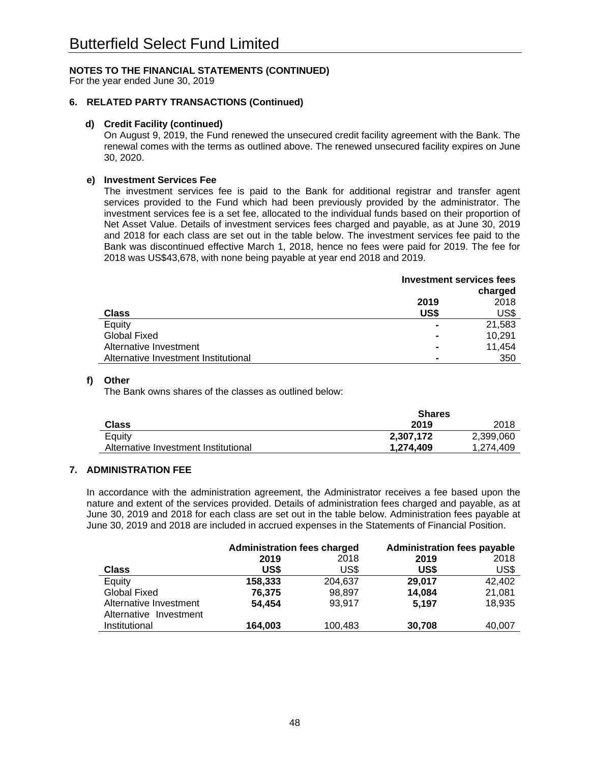For the year ended June 30, 2019

# **6. RELATED PARTY TRANSACTIONS (Continued)**

#### **d) Credit Facility (continued)**

On August 9, 2019, the Fund renewed the unsecured credit facility agreement with the Bank. The renewal comes with the terms as outlined above. The renewed unsecured facility expires on June 30, 2020.

#### **e) Investment Services Fee**

The investment services fee is paid to the Bank for additional registrar and transfer agent services provided to the Fund which had been previously provided by the administrator. The investment services fee is a set fee, allocated to the individual funds based on their proportion of Net Asset Value. Details of investment services fees charged and payable, as at June 30, 2019 and 2018 for each class are set out in the table below. The investment services fee paid to the Bank was discontinued effective March 1, 2018, hence no fees were paid for 2019. The fee for 2018 was US\$43,678, with none being payable at year end 2018 and 2019.

|                                      | <b>Investment services fees</b> |         |
|--------------------------------------|---------------------------------|---------|
|                                      |                                 | charged |
|                                      | 2019                            | 2018    |
| <b>Class</b>                         | US\$                            | US\$    |
| Equity                               |                                 | 21,583  |
| <b>Global Fixed</b>                  |                                 | 10.291  |
| Alternative Investment               |                                 | 11,454  |
| Alternative Investment Institutional |                                 | 350     |

#### **f) Other**

The Bank owns shares of the classes as outlined below:

|                                      | <b>Shares</b> |           |
|--------------------------------------|---------------|-----------|
| Class                                | 2019          | 2018      |
| Equity                               | 2,307,172     | 2,399,060 |
| Alternative Investment Institutional | 1.274.409     | 1.274.409 |

# **7. ADMINISTRATION FEE**

 In accordance with the administration agreement, the Administrator receives a fee based upon the nature and extent of the services provided. Details of administration fees charged and payable, as at June 30, 2019 and 2018 for each class are set out in the table below. Administration fees payable at June 30, 2019 and 2018 are included in accrued expenses in the Statements of Financial Position.

|                        | <b>Administration fees charged</b> |         | <b>Administration fees payable</b> |        |
|------------------------|------------------------------------|---------|------------------------------------|--------|
|                        | 2019                               | 2018    | 2019                               | 2018   |
| <b>Class</b>           | US\$                               | US\$    | US\$                               | US\$   |
| Equity                 | 158,333                            | 204.637 | 29,017                             | 42,402 |
| <b>Global Fixed</b>    | 76,375                             | 98,897  | 14,084                             | 21,081 |
| Alternative Investment | 54,454                             | 93,917  | 5.197                              | 18,935 |
| Alternative Investment |                                    |         |                                    |        |
| Institutional          | 164,003                            | 100,483 | 30,708                             | 40,007 |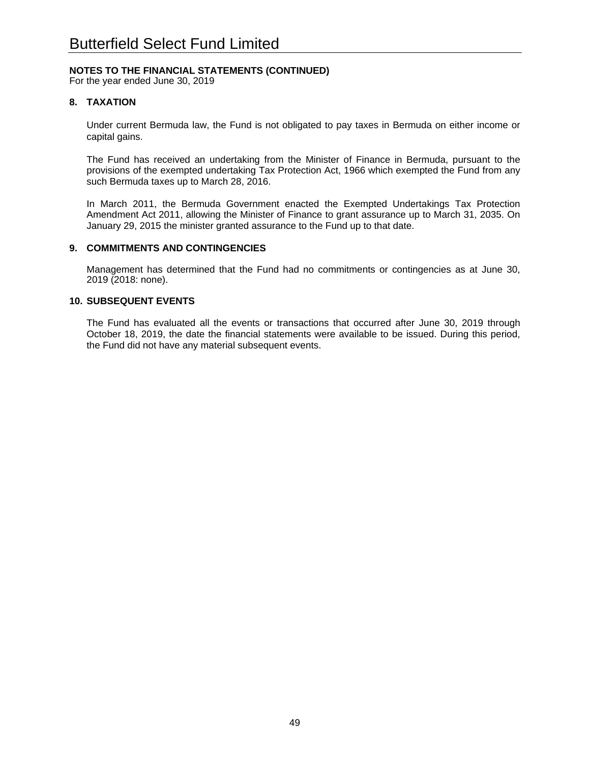For the year ended June 30, 2019

### **8. TAXATION**

Under current Bermuda law, the Fund is not obligated to pay taxes in Bermuda on either income or capital gains.

The Fund has received an undertaking from the Minister of Finance in Bermuda, pursuant to the provisions of the exempted undertaking Tax Protection Act, 1966 which exempted the Fund from any such Bermuda taxes up to March 28, 2016.

In March 2011, the Bermuda Government enacted the Exempted Undertakings Tax Protection Amendment Act 2011, allowing the Minister of Finance to grant assurance up to March 31, 2035. On January 29, 2015 the minister granted assurance to the Fund up to that date.

#### **9. COMMITMENTS AND CONTINGENCIES**

Management has determined that the Fund had no commitments or contingencies as at June 30, 2019 (2018: none).

#### **10. SUBSEQUENT EVENTS**

 The Fund has evaluated all the events or transactions that occurred after June 30, 2019 through October 18, 2019, the date the financial statements were available to be issued. During this period, the Fund did not have any material subsequent events.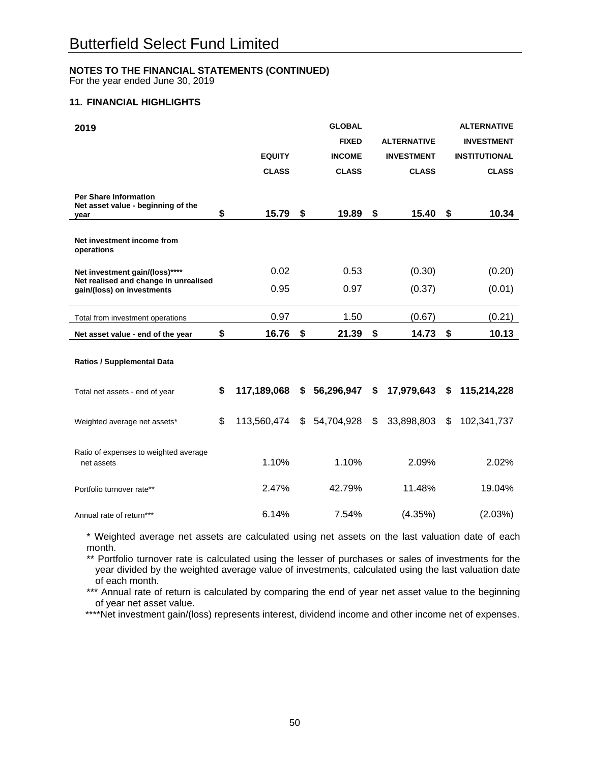For the year ended June 30, 2019

# **11. FINANCIAL HIGHLIGHTS**

| 2019                                                                       |                   | <b>GLOBAL</b>    |    |                    | <b>ALTERNATIVE</b>   |
|----------------------------------------------------------------------------|-------------------|------------------|----|--------------------|----------------------|
|                                                                            |                   | <b>FIXED</b>     |    | <b>ALTERNATIVE</b> | <b>INVESTMENT</b>    |
|                                                                            | <b>EQUITY</b>     | <b>INCOME</b>    |    | <b>INVESTMENT</b>  | <b>INSTITUTIONAL</b> |
|                                                                            | <b>CLASS</b>      | <b>CLASS</b>     |    | <b>CLASS</b>       | <b>CLASS</b>         |
| <b>Per Share Information</b><br>Net asset value - beginning of the<br>vear | \$<br>15.79       | \$<br>19.89      | \$ | 15.40              | \$<br>10.34          |
| Net investment income from<br>operations                                   |                   |                  |    |                    |                      |
| Net investment gain/(loss)****                                             | 0.02              | 0.53             |    | (0.30)             | (0.20)               |
| Net realised and change in unrealised<br>gain/(loss) on investments        | 0.95              | 0.97             |    | (0.37)             | (0.01)               |
| Total from investment operations                                           | 0.97              | 1.50             |    | (0.67)             | (0.21)               |
| Net asset value - end of the year                                          | \$<br>16.76       | \$<br>21.39      | \$ | 14.73              | \$<br>10.13          |
| <b>Ratios / Supplemental Data</b>                                          |                   |                  |    |                    |                      |
| Total net assets - end of year                                             | \$<br>117,189,068 | \$56,296,947     | S. | 17,979,643 \$      | 115,214,228          |
| Weighted average net assets*                                               | \$<br>113,560,474 | \$<br>54,704,928 | \$ | 33,898,803         | \$<br>102,341,737    |
| Ratio of expenses to weighted average<br>net assets                        | 1.10%             | 1.10%            |    | 2.09%              | 2.02%                |
| Portfolio turnover rate**                                                  | 2.47%             | 42.79%           |    | 11.48%             | 19.04%               |
| Annual rate of return***                                                   | 6.14%             | 7.54%            |    | (4.35%)            | (2.03%)              |

\* Weighted average net assets are calculated using net assets on the last valuation date of each month.

\*\* Portfolio turnover rate is calculated using the lesser of purchases or sales of investments for the year divided by the weighted average value of investments, calculated using the last valuation date of each month.

\*\*\* Annual rate of return is calculated by comparing the end of year net asset value to the beginning of year net asset value.

\*\*\*\*Net investment gain/(loss) represents interest, dividend income and other income net of expenses.